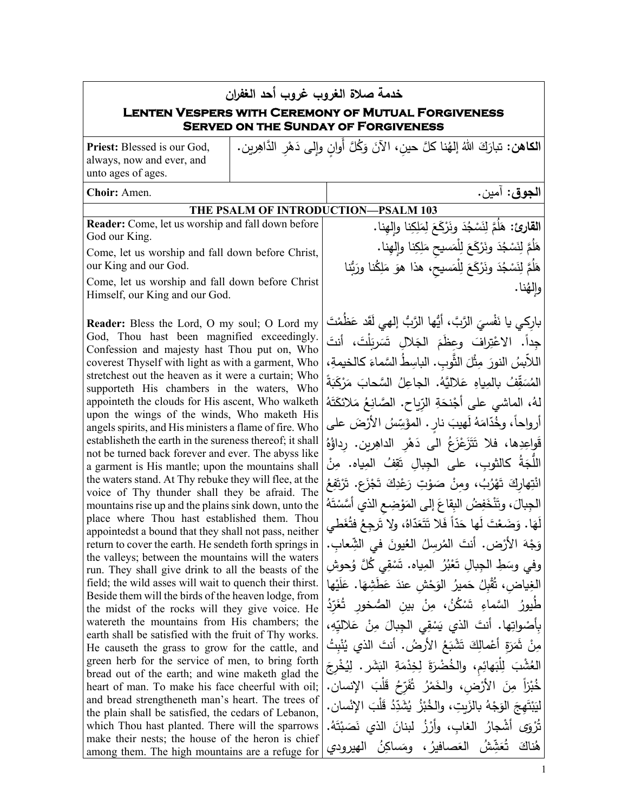| <b>LENTEN VESPERS WITH CEREMONY OF MUTUAL FORGIVENESS</b><br><b>SERVED ON THE SUNDAY OF FORGIVENESS</b><br>ا <b>لكاهن:</b> تبارَكَ اللهُ إلهُنا كلَّ حينِ، الآنَ وَكُلَّ أوانِ وإلى دَهْرِ الدَّاهِرين.<br>Priest: Blessed is our God,<br>always, now and ever, and<br>unto ages of ages.<br>ا <b>لجوق</b> : آمين.<br>Choir: Amen.<br>THE PSALM OF INTRODUCTION-PSALM 103<br>Reader: Come, let us worship and fall down before<br>القارئ: هَلَمَّ لِنَسْجُدَ ونَرْكَعَ لِمَلِكِنا وإلهِنا.<br>God our King.<br>هَلَمَّ لِنَسْجُدَ ونَرْكَعَ لِلْمَسيحِ مَلِكِنا وإلهِنا.<br>Come, let us worship and fall down before Christ,<br>هَلُمَّ لِنَسْجُدَ ونَرْكَعَ لِلْمَسيح، هذا هوَ مَلِكُنا ورَبُّنا<br>our King and our God.<br>Come, let us worship and fall down before Christ<br>وإلفُنا.<br>Himself, our King and our God.<br>باركي يا نَفْسيَ الرَّبَّ، أَيُّها الرَّبُّ إلهي لَقَد عَظُمْتَ<br>Reader: Bless the Lord, O my soul; O Lord my<br>God, Thou hast been magnified exceedingly.<br>جِداً. الاعْتِرافَ وعظَمَ الجَلالِ تَسَرِبَلْتَ، أنتَ<br>Confession and majesty hast Thou put on, Who<br>اللاَّبِسُ النورَ مِثْلَ الثَّوبِ. الباسِطُ السَّماءَ كالخيمةِ،<br>coverest Thyself with light as with a garment, Who<br>stretchest out the heaven as it were a curtain; Who<br>المُسَقِّفُ بِالمِياهِ عَلاليَّهُ. الجاعِلُ السَّحابَ مَرْكَبَةً<br>supporteth His chambers in the waters, Who<br>لهُ، الماشي على أَجْنحَةِ الرِّياحِ. الصَّانِعُ مَلائكَتَهُ<br>appointeth the clouds for His ascent, Who walketh<br>upon the wings of the winds, Who maketh His<br>أرواحاً، وخُدّامَهُ لَهيبَ نارِ . المؤَسِّسُ الأَرْضَ على<br>angels spirits, and His ministers a flame of fire. Who<br>establisheth the earth in the sureness thereof; it shall<br>قَواعِدِها، فلا تَتَزَعْزَعُ الى دَهْرِ الداهِرين. رداؤُهُ<br>not be turned back forever and ever. The abyss like<br>اللَّجَةُ كالثوبِ، على الجِبالِ نَقِفُ المِياه. مِنْ<br>a garment is His mantle; upon the mountains shall<br>the waters stand. At Thy rebuke they will flee, at the<br>انْتِهارِكَ تَهْرُبُ، ومِنْ صَوْتِ رَعْدِكَ تَجْزَعٍ. تَرْتَفِعُ<br>voice of Thy thunder shall they be afraid. The<br>الجِبالَ، وتَنْخَفِضُ البِقاعَ إلى المَوْضِعِ الذي أَسَّسْتَهُ<br>mountains rise up and the plains sink down, unto the<br>place where Thou hast established them. Thou<br>لَهَا. وَضَعْتَ لَها حَدّاً فَلا تَتَعَدّاهُ، ولا تَرجِعُ فتُغَطى<br>appointedst a bound that they shall not pass, neither<br>وَجْهَ الأَرْضِ. أنتَ المُرسِلُ العُيونَ في الشِّعابِ.<br>return to cover the earth. He sendeth forth springs in<br>the valleys; between the mountains will the waters<br>وفي وسَطِ الجِبالِ تَعْبُرُ  المِياه. تَسْقِي كُلَّ وُحوشِ<br>run. They shall give drink to all the beasts of the<br>الْغِياض، ثُقْبِلُ حَميرُ الْوَحْشِ عِندَ عَطَشِهَا. عَلَيْها<br>field; the wild asses will wait to quench their thirst.<br>Beside them will the birds of the heaven lodge, from<br>طَيورُ   السَّماءِ   تَسْكُنُ،   مِنْ   بين   الصُـخورِ    تُغَرّدُ<br>the midst of the rocks will they give voice. He<br>watereth the mountains from His chambers; the<br>بِأَصْواتِها. أنتَ الذي يَسْقِي الْجِبالَ مِنْ عَلاليِّهِ،<br>earth shall be satisfied with the fruit of Thy works.<br>مِنْ ثَمَرَةٍ أَعْمالِكَ تَشْبَعُ الأَرِضُ. أَنتَ الذي يُنْبِتُ<br>He causeth the grass to grow for the cattle, and<br>green herb for the service of men, to bring forth<br>الْعُشْبَ لِلْبَهائِم، والخُضْرَةَ لِخِدْمَةِ الْبَشَرِ . لِيُخْرِجَ<br>bread out of the earth; and wine maketh glad the<br>خُبْرْاً مِنَ الأَرْضِ، والخَمْرُ تُفَرِّحُ قَلْبَ الإنسانِ.<br>heart of man. To make his face cheerful with oil;<br>and bread strengtheneth man's heart. The trees of<br>ليَبْتَهِجَ الوَجْهُ بالزَبِتِ، والخُبْزُ يُشَدِّدُ قَلْبَ الإِنْسانِ.<br>the plain shall be satisfied, the cedars of Lebanon,<br>تُرْوَى أشْجارُ الغاب، وأَرْزُ لبنانَ الذي نَصَبْتَهُ.<br>which Thou hast planted. There will the sparrows<br>make their nests; the house of the heron is chief |                                                 | خدمة صلاة الغروب غروب أحد الغفران                   |  |
|-----------------------------------------------------------------------------------------------------------------------------------------------------------------------------------------------------------------------------------------------------------------------------------------------------------------------------------------------------------------------------------------------------------------------------------------------------------------------------------------------------------------------------------------------------------------------------------------------------------------------------------------------------------------------------------------------------------------------------------------------------------------------------------------------------------------------------------------------------------------------------------------------------------------------------------------------------------------------------------------------------------------------------------------------------------------------------------------------------------------------------------------------------------------------------------------------------------------------------------------------------------------------------------------------------------------------------------------------------------------------------------------------------------------------------------------------------------------------------------------------------------------------------------------------------------------------------------------------------------------------------------------------------------------------------------------------------------------------------------------------------------------------------------------------------------------------------------------------------------------------------------------------------------------------------------------------------------------------------------------------------------------------------------------------------------------------------------------------------------------------------------------------------------------------------------------------------------------------------------------------------------------------------------------------------------------------------------------------------------------------------------------------------------------------------------------------------------------------------------------------------------------------------------------------------------------------------------------------------------------------------------------------------------------------------------------------------------------------------------------------------------------------------------------------------------------------------------------------------------------------------------------------------------------------------------------------------------------------------------------------------------------------------------------------------------------------------------------------------------------------------------------------------------------------------------------------------------------------------------------------------------------------------------------------------------------------------------------------------------------------------------------------------------------------------------------------------------------------------------------------------------------------------------------------------------------------------------------------------------------------------------------------------------------------------------------------------------------------------------------------------------------------------------------------------------------------------------------------------------------------------------------------------------------------------------------------------------------------------------------------------------------------------------------------------------------------|-------------------------------------------------|-----------------------------------------------------|--|
|                                                                                                                                                                                                                                                                                                                                                                                                                                                                                                                                                                                                                                                                                                                                                                                                                                                                                                                                                                                                                                                                                                                                                                                                                                                                                                                                                                                                                                                                                                                                                                                                                                                                                                                                                                                                                                                                                                                                                                                                                                                                                                                                                                                                                                                                                                                                                                                                                                                                                                                                                                                                                                                                                                                                                                                                                                                                                                                                                                                                                                                                                                                                                                                                                                                                                                                                                                                                                                                                                                                                                                                                                                                                                                                                                                                                                                                                                                                                                                                                                                                                       |                                                 |                                                     |  |
|                                                                                                                                                                                                                                                                                                                                                                                                                                                                                                                                                                                                                                                                                                                                                                                                                                                                                                                                                                                                                                                                                                                                                                                                                                                                                                                                                                                                                                                                                                                                                                                                                                                                                                                                                                                                                                                                                                                                                                                                                                                                                                                                                                                                                                                                                                                                                                                                                                                                                                                                                                                                                                                                                                                                                                                                                                                                                                                                                                                                                                                                                                                                                                                                                                                                                                                                                                                                                                                                                                                                                                                                                                                                                                                                                                                                                                                                                                                                                                                                                                                                       |                                                 |                                                     |  |
|                                                                                                                                                                                                                                                                                                                                                                                                                                                                                                                                                                                                                                                                                                                                                                                                                                                                                                                                                                                                                                                                                                                                                                                                                                                                                                                                                                                                                                                                                                                                                                                                                                                                                                                                                                                                                                                                                                                                                                                                                                                                                                                                                                                                                                                                                                                                                                                                                                                                                                                                                                                                                                                                                                                                                                                                                                                                                                                                                                                                                                                                                                                                                                                                                                                                                                                                                                                                                                                                                                                                                                                                                                                                                                                                                                                                                                                                                                                                                                                                                                                                       |                                                 |                                                     |  |
|                                                                                                                                                                                                                                                                                                                                                                                                                                                                                                                                                                                                                                                                                                                                                                                                                                                                                                                                                                                                                                                                                                                                                                                                                                                                                                                                                                                                                                                                                                                                                                                                                                                                                                                                                                                                                                                                                                                                                                                                                                                                                                                                                                                                                                                                                                                                                                                                                                                                                                                                                                                                                                                                                                                                                                                                                                                                                                                                                                                                                                                                                                                                                                                                                                                                                                                                                                                                                                                                                                                                                                                                                                                                                                                                                                                                                                                                                                                                                                                                                                                                       |                                                 |                                                     |  |
|                                                                                                                                                                                                                                                                                                                                                                                                                                                                                                                                                                                                                                                                                                                                                                                                                                                                                                                                                                                                                                                                                                                                                                                                                                                                                                                                                                                                                                                                                                                                                                                                                                                                                                                                                                                                                                                                                                                                                                                                                                                                                                                                                                                                                                                                                                                                                                                                                                                                                                                                                                                                                                                                                                                                                                                                                                                                                                                                                                                                                                                                                                                                                                                                                                                                                                                                                                                                                                                                                                                                                                                                                                                                                                                                                                                                                                                                                                                                                                                                                                                                       |                                                 |                                                     |  |
|                                                                                                                                                                                                                                                                                                                                                                                                                                                                                                                                                                                                                                                                                                                                                                                                                                                                                                                                                                                                                                                                                                                                                                                                                                                                                                                                                                                                                                                                                                                                                                                                                                                                                                                                                                                                                                                                                                                                                                                                                                                                                                                                                                                                                                                                                                                                                                                                                                                                                                                                                                                                                                                                                                                                                                                                                                                                                                                                                                                                                                                                                                                                                                                                                                                                                                                                                                                                                                                                                                                                                                                                                                                                                                                                                                                                                                                                                                                                                                                                                                                                       |                                                 |                                                     |  |
|                                                                                                                                                                                                                                                                                                                                                                                                                                                                                                                                                                                                                                                                                                                                                                                                                                                                                                                                                                                                                                                                                                                                                                                                                                                                                                                                                                                                                                                                                                                                                                                                                                                                                                                                                                                                                                                                                                                                                                                                                                                                                                                                                                                                                                                                                                                                                                                                                                                                                                                                                                                                                                                                                                                                                                                                                                                                                                                                                                                                                                                                                                                                                                                                                                                                                                                                                                                                                                                                                                                                                                                                                                                                                                                                                                                                                                                                                                                                                                                                                                                                       |                                                 |                                                     |  |
|                                                                                                                                                                                                                                                                                                                                                                                                                                                                                                                                                                                                                                                                                                                                                                                                                                                                                                                                                                                                                                                                                                                                                                                                                                                                                                                                                                                                                                                                                                                                                                                                                                                                                                                                                                                                                                                                                                                                                                                                                                                                                                                                                                                                                                                                                                                                                                                                                                                                                                                                                                                                                                                                                                                                                                                                                                                                                                                                                                                                                                                                                                                                                                                                                                                                                                                                                                                                                                                                                                                                                                                                                                                                                                                                                                                                                                                                                                                                                                                                                                                                       | among them. The high mountains are a refuge for | تُعَشِّشُ العَصافيرُ، ومَساكِنُ المهيرودي<br>هُناكَ |  |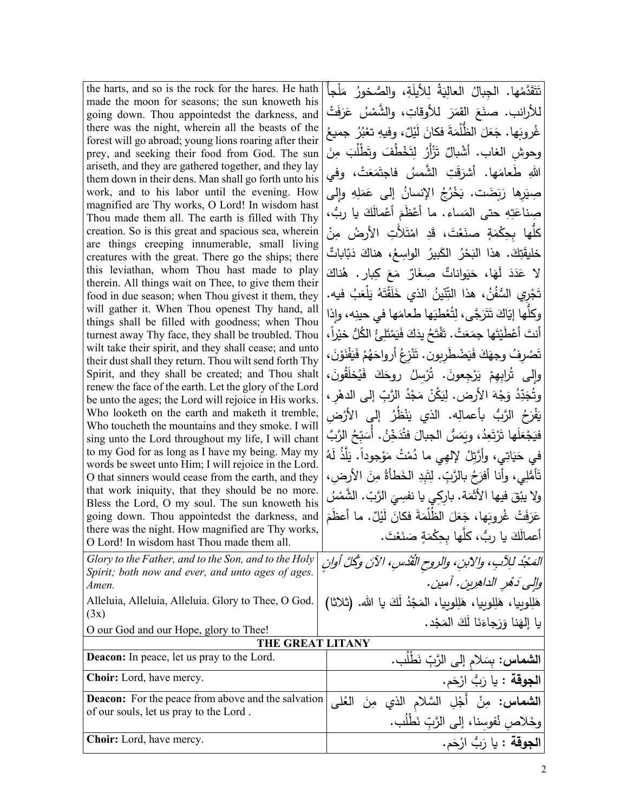| the harts, and so is the rock for the hares. He hath<br>made the moon for seasons; the sun knoweth his<br>going down. Thou appointedst the darkness, and<br>there was the night, wherein all the beasts of the<br>forest will go abroad; young lions roaring after their<br>prey, and seeking their food from God. The sun<br>ariseth, and they are gathered together, and they lay<br>them down in their dens. Man shall go forth unto his<br>work, and to his labor until the evening. How<br>magnified are Thy works, O Lord! In wisdom hast<br>Thou made them all. The earth is filled with Thy<br>creation. So is this great and spacious sea, wherein<br>are things creeping innumerable, small living<br>creatures with the great. There go the ships; there<br>this leviathan, whom Thou hast made to play<br>therein. All things wait on Thee, to give them their<br>food in due season; when Thou givest it them, they<br>will gather it. When Thou openest Thy hand, all<br>things shall be filled with goodness; when Thou<br>turnest away Thy face, they shall be troubled. Thou<br>wilt take their spirit, and they shall cease; and unto<br>their dust shall they return. Thou wilt send forth Thy<br>Spirit, and they shall be created; and Thou shalt<br>renew the face of the earth. Let the glory of the Lord | تَتَقَدَّمُها. الجبالُ العالِيَةُ لِلأَيلَةِ، والصُّخورُ مَلْجأً<br>للأرانب. صنَعَ القمَرَ للأوقاتِ، والشَّمْسُ عَرَفَتْ<br>غُروبَها. جَعَلَ الظُّلْمَةَ فكانَ لَيْلٌ، وفيهِ تعْبُرُ جميعُ<br>وحوش الغاب. أَشْبالٌ تَزْأَرُ لِتَخْطُفَ وتَطْلُبَ مِنَ<br>اللهِ طَعامَها. أَشرَقَتِ الشَّمسُ فاجتَمَعَتْ، وفي<br>صِيَرِها رَبَضَت. يَخْرُجُ الإِنسانُ إِلَى عَمَلِهِ وإِلَى<br>صِناعَتِهِ حتى المَساء. ما أَعْظَمَ أَعْمالَكَ يا ربُّ،<br>كلُّها بِحِكْمَةٍ صنَعْتَ، قَدِ امْتَلَأْتِ الأَرضُ مِنْ<br>خليقَتِكَ. هذا البَحْرُ الكَبيرُ الواسِعُ، هناكَ دَبّاباتٌ<br>لا عَدَدَ لَهَا، حَيَواناتٌ صِغَارٌ مَعَ كِبارٍ. هُناكَ<br>تَجْرِي السُّفُنُ، هذا التِّنّينُ الذي خَلَقْتَهُ يَلْعَبُ فيه.<br>وكِلُّها إِيّاكَ تَتَرَجَّى، لِتُعْطِيَها طعامَها في حينِه، وإذا<br>أَنتَ أَعْطَيْتَها جمَعَتْ. تَفْتَحُ يدَكَ فَيَمْتَلِئُ الكُلُّ خيْراً،<br>تَصْرِفُ وجهَكَ فَيَضْطَرِبِونِ. تَنْزِعُ أَرواحَهُمْ فَيَفْنَوْنَ،<br>وإِلَى تُرابِهِمْ يَرْجِعونَ. تُرْسِلُ روِحَكَ فَيُخلَقُونَ، |
|----------------------------------------------------------------------------------------------------------------------------------------------------------------------------------------------------------------------------------------------------------------------------------------------------------------------------------------------------------------------------------------------------------------------------------------------------------------------------------------------------------------------------------------------------------------------------------------------------------------------------------------------------------------------------------------------------------------------------------------------------------------------------------------------------------------------------------------------------------------------------------------------------------------------------------------------------------------------------------------------------------------------------------------------------------------------------------------------------------------------------------------------------------------------------------------------------------------------------------------------------------------------------------------------------------------------------------|-------------------------------------------------------------------------------------------------------------------------------------------------------------------------------------------------------------------------------------------------------------------------------------------------------------------------------------------------------------------------------------------------------------------------------------------------------------------------------------------------------------------------------------------------------------------------------------------------------------------------------------------------------------------------------------------------------------------------------------------------------------------------------------------------------------------------------------------------------------------------------------------------------------------------------------------------------------------------------------|
| be unto the ages; the Lord will rejoice in His works.<br>Who looketh on the earth and maketh it tremble,<br>Who toucheth the mountains and they smoke. I will<br>sing unto the Lord throughout my life, I will chant<br>to my God for as long as I have my being. May my<br>words be sweet unto Him; I will rejoice in the Lord.<br>O that sinners would cease from the earth, and they<br>that work iniquity, that they should be no more.<br>Bless the Lord, O my soul. The sun knoweth his                                                                                                                                                                                                                                                                                                                                                                                                                                                                                                                                                                                                                                                                                                                                                                                                                                    | وتُجَدِّدُ وَجْهَ الأَرضِ. لِيَكُنْ مَجْدُ الرَّبِّ إلى الدهْرِ ،<br>يَفْرَحُ الرَّبُّ بأعمالِه. الذي يَنْظُرُ إلى الأرْض<br>فيَجْعَلَها تَرْتَعِدُ، ويَمَسُّ الْجبالَ فَتُدَخِّنُ. أَسَبِّحُ الرَّبَّ<br>في حَيَاتِي، وأَرَّتِلُ لِإلْهِي ما دُمْتُ مَوْجوداً. يَلَذُ لَهُ<br>تَأْمُّلِي، وأنا أَفْرَحُ بِالرَّبِّ. لِتَبِدِ الْخَطَأَةُ مِنَ الأَرْضِ،<br>ولا يبْقَ فيها الأَثَمَة. باركِي يا نفسِيَ الرَّبِّ. الشَّمْسُ                                                                                                                                                                                                                                                                                                                                                                                                                                                                                                                                                          |
| going down. Thou appointedst the darkness, and<br>there was the night. How magnified are Thy works,<br>O Lord! In wisdom hast Thou made them all.                                                                                                                                                                                                                                                                                                                                                                                                                                                                                                                                                                                                                                                                                                                                                                                                                                                                                                                                                                                                                                                                                                                                                                                | عَرَفَتْ غُروبَها، جَعَلَ الظُلْمَةَ فكانَ لَيْلٌ. ما أعظَمَ<br>أعمالَكَ يا ربُّ، كلّها بحِكْمَةٍ صَنَعْتَ.                                                                                                                                                                                                                                                                                                                                                                                                                                                                                                                                                                                                                                                                                                                                                                                                                                                                         |
| Glory to the Father, and to the Son, and to the Holy<br>Spirit; both now and ever, and unto ages of ages.<br>Amen.<br>Alleluia, Alleluia, Alleluia. Glory to Thee, O God.<br>(3x)                                                                                                                                                                                                                                                                                                                                                                                                                                                                                                                                                                                                                                                                                                                                                                                                                                                                                                                                                                                                                                                                                                                                                | المَجْدُ للِآبِ، والابنِ، والروحِ الْقُدْسِ، الآنَ وكُلِّ أُولِن<br>والى دَمُر الداهرِينِ. آمينِ.<br>هَلِلوبيا، هَلِلوبيا، هَلِلوبيا، المَجْدُ لَكَ يا الله. (ثلاثا)<br>يا إلهَنا وَرَجاءَنَا لَكَ المَجْد.                                                                                                                                                                                                                                                                                                                                                                                                                                                                                                                                                                                                                                                                                                                                                                         |
| O our God and our Hope, glory to Thee!<br><b>THE GREAT LITANY</b>                                                                                                                                                                                                                                                                                                                                                                                                                                                                                                                                                                                                                                                                                                                                                                                                                                                                                                                                                                                                                                                                                                                                                                                                                                                                |                                                                                                                                                                                                                                                                                                                                                                                                                                                                                                                                                                                                                                                                                                                                                                                                                                                                                                                                                                                     |
| <b>Deacon:</b> In peace, let us pray to the Lord.                                                                                                                                                                                                                                                                                                                                                                                                                                                                                                                                                                                                                                                                                                                                                                                                                                                                                                                                                                                                                                                                                                                                                                                                                                                                                | الشماس: بِسَلام إلى الرَّبِّ نَطْلَب.                                                                                                                                                                                                                                                                                                                                                                                                                                                                                                                                                                                                                                                                                                                                                                                                                                                                                                                                               |
| Choir: Lord, have mercy.                                                                                                                                                                                                                                                                                                                                                                                                                                                                                                                                                                                                                                                                                                                                                                                                                                                                                                                                                                                                                                                                                                                                                                                                                                                                                                         | ا <b>لجوقة</b> : يا رَبُّ ارْحَم.                                                                                                                                                                                                                                                                                                                                                                                                                                                                                                                                                                                                                                                                                                                                                                                                                                                                                                                                                   |
| <b>Deacon:</b> For the peace from above and the salvation                                                                                                                                                                                                                                                                                                                                                                                                                                                                                                                                                                                                                                                                                                                                                                                                                                                                                                                                                                                                                                                                                                                                                                                                                                                                        |                                                                                                                                                                                                                                                                                                                                                                                                                                                                                                                                                                                                                                                                                                                                                                                                                                                                                                                                                                                     |
| of our souls, let us pray to the Lord.                                                                                                                                                                                                                                                                                                                                                                                                                                                                                                                                                                                                                                                                                                                                                                                                                                                                                                                                                                                                                                                                                                                                                                                                                                                                                           | <b>الشماس:</b> مِنْ أَجْلِ السَّلامِ الذي مِنَ العُلمِى<br>وخَلاصِ نُفوسِنا، إلى الرَّبِّ نَطْلُبٍ.                                                                                                                                                                                                                                                                                                                                                                                                                                                                                                                                                                                                                                                                                                                                                                                                                                                                                 |
| Choir: Lord, have mercy.                                                                                                                                                                                                                                                                                                                                                                                                                                                                                                                                                                                                                                                                                                                                                                                                                                                                                                                                                                                                                                                                                                                                                                                                                                                                                                         | ا <b>لجوقة</b> : يا رَبُّ ارْحَم.                                                                                                                                                                                                                                                                                                                                                                                                                                                                                                                                                                                                                                                                                                                                                                                                                                                                                                                                                   |
|                                                                                                                                                                                                                                                                                                                                                                                                                                                                                                                                                                                                                                                                                                                                                                                                                                                                                                                                                                                                                                                                                                                                                                                                                                                                                                                                  |                                                                                                                                                                                                                                                                                                                                                                                                                                                                                                                                                                                                                                                                                                                                                                                                                                                                                                                                                                                     |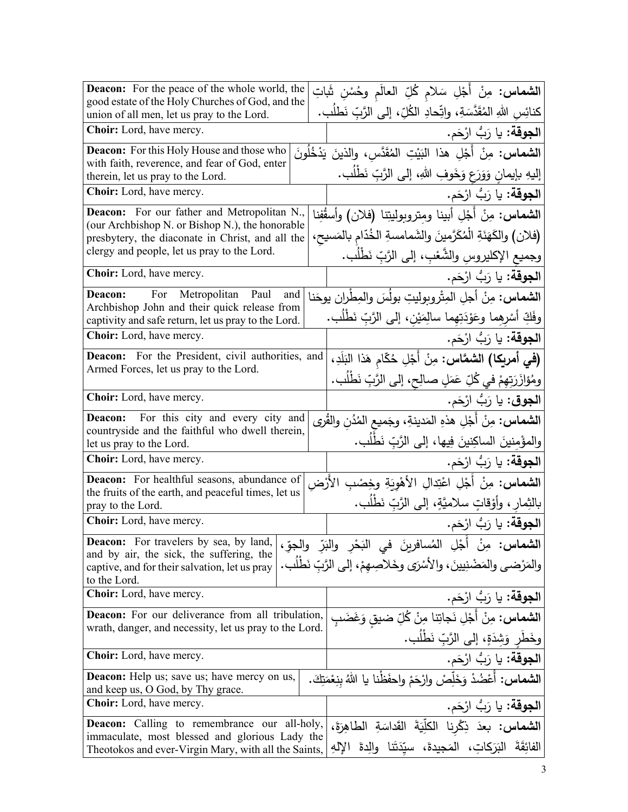| <b>Deacon:</b> For the peace of the whole world, the<br>good estate of the Holy Churches of God, and the<br>union of all men, let us pray to the Lord.                                                   | ا <b>لشماس:</b> مِنْ أَجْلِ سَلامٍ كُلِّ العالَمِ وحُسْنِ شَاتِ<br>كنائِسِ اللهِ المُقَدَّسَةِ، واتِّحادِ الكُلِّ، إلى الرَّبِّ نَطلُب.                                                       |  |  |
|----------------------------------------------------------------------------------------------------------------------------------------------------------------------------------------------------------|-----------------------------------------------------------------------------------------------------------------------------------------------------------------------------------------------|--|--|
| Choir: Lord, have mercy.                                                                                                                                                                                 | ا <b>لجوقة:</b> يا رَبُّ ارْحَم.                                                                                                                                                              |  |  |
| <b>Deacon:</b> For this Holy House and those who<br>with faith, reverence, and fear of God, enter<br>therein, let us pray to the Lord.                                                                   | ا <b>لشماس:</b> مِنْ أَجْلِ هذا البَيْتِ المُقَدَّسِ، والذينَ يَدْخُلُونَ<br>إليهِ بإيمانٍ وَوَرَعٍ وَخَوفِ اللهِ، إلى الرَّبِّ نَطْلَبٍ.                                                     |  |  |
| Choir: Lord, have mercy.                                                                                                                                                                                 | ا <b>لجوقة:</b> يا رَبُّ ارْحَم.                                                                                                                                                              |  |  |
| <b>Deacon:</b> For our father and Metropolitan N.,<br>(our Archbishop N. or Bishop N.), the honorable<br>presbytery, the diaconate in Christ, and all the<br>clergy and people, let us pray to the Lord. | ا <b>لشماس:</b> مِنْ أَجْلِ أَبينا ومِتروبوليتِنا (فلان) وأسقُفِنا<br>(فلان) والكَهَنَةِ الْمُكَرَّمينَ والشَمامسةِ الخُدّامِ بالمَسيحِ،<br>وجميع الإكليروس والشَّعْبِ، إلى الرَّبِّ نَطْلُب. |  |  |
| Choir: Lord, have mercy.                                                                                                                                                                                 | ا <b>لجوقة:</b> يا رَبُّ ارْحَم.                                                                                                                                                              |  |  |
| For Metropolitan Paul<br>Deacon:<br>and<br>Archbishop John and their quick release from<br>captivity and safe return, let us pray to the Lord.                                                           | ا <b>لشماس:</b> مِنْ أجلِ المِثْروبوليتِ بولُسَ والمِطْران يوحَنا<br>وفَكِّ أَسْرِهِما وعَوْدَتِهِما سالِمَيْنِ، إلى الرَّبِّ نَطْلُب.                                                        |  |  |
| Choir: Lord, have mercy.                                                                                                                                                                                 | ا <b>لجوقة:</b> يا رَبُّ ارْحَم.                                                                                                                                                              |  |  |
| Deacon: For the President, civil authorities, and<br>Armed Forces, let us pray to the Lord.                                                                                                              | (في أمريكا) الشمَّاس: مِنْ أَجْلِ حُكَّام هَذا البَلَدِ،<br>ومُؤازَرَتِهِمْ في كُلِّ عَمَلٍ صالِحٍ، إلى الرَّبِّ نَطْلُب.                                                                     |  |  |
| Choir: Lord, have mercy.                                                                                                                                                                                 | ا <b>لجوق</b> : يا رَبُّ ارْحَم.                                                                                                                                                              |  |  |
| Deacon: For this city and every city and<br>countryside and the faithful who dwell therein,<br>let us pray to the Lord.                                                                                  | ا <b>لشماس:</b> مِنْ أَجْلِ هذهِ المَدينةِ، وجَميع المُدُنِ والقُرى<br>والمؤْمنينَ الساكِنينَ فِيها، إلى الرَّبِّ نَطْلُبٍ.                                                                   |  |  |
| Choir: Lord, have mercy.                                                                                                                                                                                 | ا <b>لجوقة:</b> يا رَبُّ ارْحَم.                                                                                                                                                              |  |  |
| <b>Deacon:</b> For healthful seasons, abundance of<br>the fruits of the earth, and peaceful times, let us<br>pray to the Lord.                                                                           | ا <b>لشماس:</b> مِنْ أَجْلِ اعْتِدالِ الأَهْوِيَةِ وخِصْبِ الأَرْضِ<br>بالثِمارِ ، وأَوْقاتٍ سلاميَّةٍ، إلى الرَّبِّ نَطْلُبٍ.                                                                |  |  |
| Choir: Lord, have mercy.                                                                                                                                                                                 | ا <b>لجوقة:</b> يا رَبُّ ارْحَم.                                                                                                                                                              |  |  |
| <b>Deacon:</b> For travelers by sea, by land,<br>and by air, the sick, the suffering, the<br>captive, and for their salvation, let us pray<br>to the Lord.                                               | ا <b>لشماس:</b> مِنْ أَجْلِ الْمُسافرينَ في الْبَحْرِ والْبَرِّ والْجوِّ،<br>والمَرْضي والمَضْنِيينَ ، والأَسْرَى وخَلاصِهِمْ ، إلى الرَّبِّ نَطْلُبٍ .                                       |  |  |
| Choir: Lord, have mercy.                                                                                                                                                                                 | <b>الجوقة:</b> يا رَبُّ ارْحَم.                                                                                                                                                               |  |  |
| <b>Deacon:</b> For our deliverance from all tribulation,<br>wrath, danger, and necessity, let us pray to the Lord.                                                                                       | ا <b>لشماس:</b> مِنْ أَجْلِ نَجاتِنا مِنْ كُلِّ ضيق وَغَضَبِ<br>وخَطَرِ وَشِدَةٍ، إلى الرَّبِّ نَطْلُب.                                                                                       |  |  |
| Choir: Lord, have mercy.                                                                                                                                                                                 | ا <b>لجوقة:</b> يا رَبُّ ارْحَم.                                                                                                                                                              |  |  |
| <b>Deacon:</b> Help us; save us; have mercy on us,<br>and keep us, O God, by Thy grace.                                                                                                                  | ا <b>لشماس:</b> أَعْضُدْ وَخَلِصْ وارْحَمْ واحفَظْنا يا اللهُ بنِعْمَتِكَ.                                                                                                                    |  |  |
| <b>Choir:</b> Lord, have mercy.                                                                                                                                                                          | ا <b>لجوقة:</b> يا رَبُّ ارْحَم.                                                                                                                                                              |  |  |
| <b>Deacon:</b> Calling to remembrance our all-holy,<br>immaculate, most blessed and glorious Lady the<br>Theotokos and ever-Virgin Mary, with all the Saints,                                            | الشعاس: بعدَ ذِكْرِنا الكلَّيَةَ القَداسَةِ الطاهِرَةَ،<br>الفائِقَةَ البَرَكاتِ، المَجيدةَ، سيّدَتَنا والِدةَ الإِلهِ                                                                        |  |  |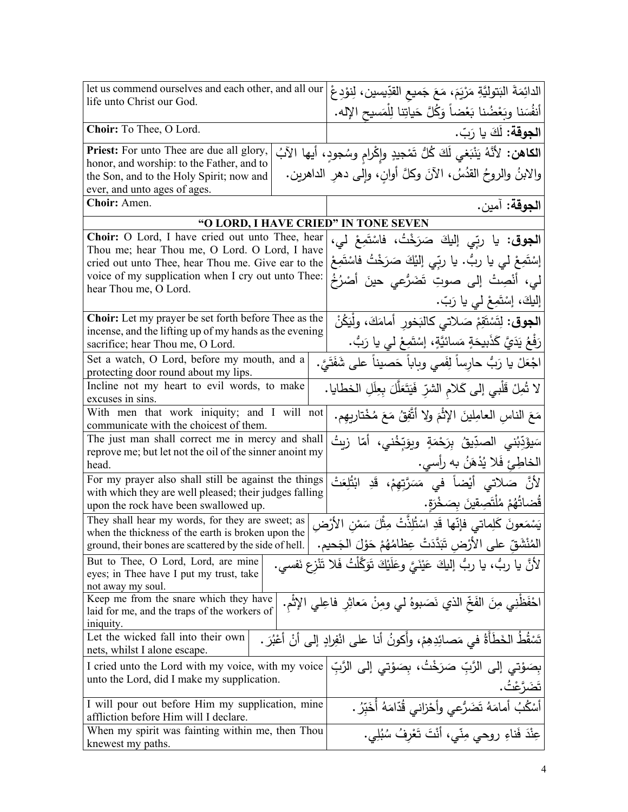| let us commend ourselves and each other, and all our                                                           | الدائِمَةَ البَتوليَّةِ مَرْيَمَ، مَعَ جَميع القدِّيسين، لِنوْدِعْ                   |
|----------------------------------------------------------------------------------------------------------------|--------------------------------------------------------------------------------------|
| life unto Christ our God.                                                                                      | أنفُسَنا وبَعْضُنا بَعْضاً وَكُلَّ حَياتِنا لِلْمَسيحِ الإله.                        |
| Choir: To Thee, O Lord.                                                                                        | الجوقة: لَكَ يا رَبّ.                                                                |
| <b>Priest:</b> For unto Thee are due all glory,                                                                | ا <b>لكاهن:</b> لأنَّهُ يَنْبَغي لَكَ كُلُّ تَمْجيدٍ وإِكْرامِ وسُجودٍ، أيها الآبُ   |
| honor, and worship: to the Father, and to<br>the Son, and to the Holy Spirit; now and                          | والابنُ والروحُ القدُسُ، الآنَ وكلَّ أوانِ، وإلى دهرِ الداهرين.                      |
| ever, and unto ages of ages.                                                                                   |                                                                                      |
| Choir: Amen.                                                                                                   | ا <b>لجوقة:</b> آمين.                                                                |
| "O LORD, I HAVE CRIED" IN TONE SEVEN                                                                           |                                                                                      |
| Choir: O Lord, I have cried out unto Thee, hear                                                                | ا <b>لجوق:</b> يا ربِّى إليكَ صَرَخْتُ، فاسْتَمِعْ لي،                               |
| Thou me; hear Thou me, O Lord. O Lord, I have<br>cried out unto Thee, hear Thou me. Give ear to the            | إسْتَمِعْ لي يا ربُّ. يا ربِّي إليْكَ صَرَخْتُ فاسْتَمِعْ                            |
| voice of my supplication when I cry out unto Thee:                                                             | لى، أَنْصِتْ إلى صوتِ تَضَرُّعى حينَ أَصْرُخُ                                        |
| hear Thou me, O Lord.                                                                                          | إليكَ، إسْتَمِعْ لي يا رَبّ.                                                         |
| <b>Choir:</b> Let my prayer be set forth before Thee as the                                                    | ا <b>لجوق</b> : لِتَسْتَقِمْ صَلاتي كالبَخور  أمامَكَ، ولْيَكُنْ                     |
| incense, and the lifting up of my hands as the evening<br>sacrifice; hear Thou me, O Lord.                     | رَفْعُ يَدَيَّ كَذَبيحَةٍ مَسائيَّةٍ، إسْتَمِعْ لي يا رَبُّ.                         |
| Set a watch, O Lord, before my mouth, and a                                                                    | اجْعَلْ يا رَبُّ حارساً لِفَمى وباباً حَصيناً على شَفَتَىّ.                          |
| protecting door round about my lips.                                                                           |                                                                                      |
| Incline not my heart to evil words, to make                                                                    | لا تُمِلْ قَلْبي إلى كَلام الشرِّ فَيَتَعَلَّلَ بِعِلَلِ الخطايا.                    |
| excuses in sins.                                                                                               |                                                                                      |
| With men that work iniquity; and I will not<br>communicate with the choicest of them.                          | مَعَ الناس العامِلينَ الإِثْمَ ولا أَتَّفِقُ مَعَ مُخْتارِيهِم.                      |
| The just man shall correct me in mercy and shall                                                               | سَيؤَدِّبُني الصدِّيقُ بِرَحْمَةٍ ويوَبِّخُني، أمّا زيتُ                             |
| reprove me; but let not the oil of the sinner anoint my                                                        |                                                                                      |
| head.                                                                                                          | الخاطِئ فَلا يُذْهَنُ به رأسي.                                                       |
| For my prayer also shall still be against the things<br>with which they are well pleased; their judges falling | لأنَّ صَلاتي أَيْضاً في مَسَرَّتِهِمْ، قَدِ ابْتُلِعَتْ                              |
| upon the rock have been swallowed up.                                                                          | قُضاتُهُمْ مُلْتَصِقِينَ بِصَخْرَةِ.                                                 |
| They shall hear my words, for they are sweet; as                                                               | يَسْمَعونَ كَلِماتي فإنّها قَدِ اسْتُلِذَّتْ مِثْلَ سَمْنِ الأَرْضِ                  |
| when the thickness of the earth is broken upon the                                                             |                                                                                      |
| ground, their bones are scattered by the side of hell.                                                         | المُنْشَقّ على الأَرْضِ تَبَدَّدَتْ عِظَامُهُمْ حَوْلَ الْجَحيم.                     |
| But to Thee, O Lord, Lord, are mine<br>eyes; in Thee have I put my trust, take<br>not away my soul.            | لأنَّ يا رِبُّ، يا رِبُّ إليكَ عَيْنَيَّ وعَلَيْكَ تَوَكَّلْتُ فَلا تَنْزِعِ نَفْسي. |
| Keep me from the snare which they have                                                                         | احْفَظْنِي مِنَ الفَخّ الذي نَصَبوهُ لي ومِنْ مَعاثِرِ فاعِلي الإثم.                 |
| laid for me, and the traps of the workers of<br>iniquity.                                                      |                                                                                      |
| Let the wicked fall into their own                                                                             | تَسْقُطُ الخَطَأَةُ في مَصائِدِهِمْ، وأكونُ أنا على انْفِرادٍ إلى أنْ أعْبُرَ .      |
| nets, whilst I alone escape.                                                                                   |                                                                                      |
| I cried unto the Lord with my voice, with my voice                                                             | بِصَوْتِي إِلَى الرَّبِّ صَرَخْتُ، بِصَوْتِي إِلَى الرَّبِّ                          |
| unto the Lord, did I make my supplication.                                                                     | نَضَرَّعْتُ.                                                                         |
| I will pour out before Him my supplication, mine<br>affliction before Him will I declare.                      | أَسْكُبُ أَمامَهُ تَضَرُّعي وأَحْزاني قُدّامَهُ أَخَبِّرُ .                          |
| When my spirit was fainting within me, then Thou                                                               | عِنْدَ فَناءِ روحي مِنّي، أَنْتَ تَعْرِفُ سُبُلِي.                                   |
| knewest my paths.                                                                                              |                                                                                      |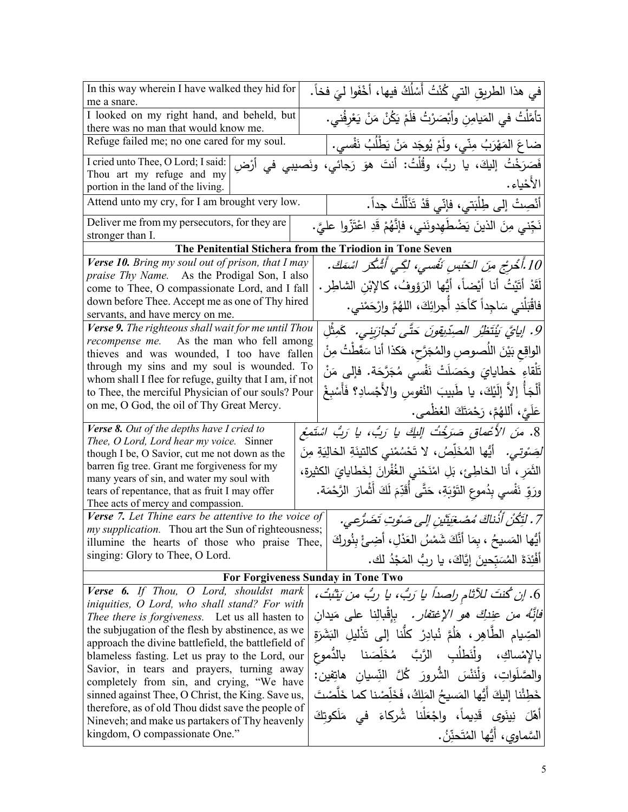| In this way wherein I have walked they hid for<br>me a snare.                                        | في هذا الطريقِ التي كُنْتُ أَسْلُكُ فيها، أَخْفَوا لِيَ فخاً.                                                        |
|------------------------------------------------------------------------------------------------------|----------------------------------------------------------------------------------------------------------------------|
| I looked on my right hand, and beheld, but                                                           | تأمَّلْتُ في المَيامِنِ وأَبْصَرْتُ فلَمْ يَكُنْ مَنْ يَعْرِفُني.                                                    |
| there was no man that would know me.                                                                 |                                                                                                                      |
| Refuge failed me; no one cared for my soul.                                                          | ضاعَ المَهْرَبُ مِنِّي، ولَمْ يُوجَد مَنْ يَطْلُبُ نَفْسي.                                                           |
| I cried unto Thee, O Lord; I said:                                                                   | فَصَرَخْتُ إليكَ، يا ربُّ، وقُلْتُ: أنتَ هوَ رَجائي، ونَصيبي في أرْضِ                                                |
| Thou art my refuge and my                                                                            |                                                                                                                      |
| portion in the land of the living.                                                                   | الأخياء.                                                                                                             |
| Attend unto my cry, for I am brought very low.                                                       | أَنْصِتْ إلى طِلْبَتي، فإنّي قَدْ تَذَلَّلْتُ جداً.                                                                  |
| Deliver me from my persecutors, for they are                                                         | نَجِّني مِنَ الذينَ يَضْطَهِدونَني، فإِنَّهُمْ قَدِ اعْتَزُوا عليَّ.                                                 |
| stronger than I.                                                                                     |                                                                                                                      |
|                                                                                                      | The Penitential Stichera from the Triodion in Tone Seven                                                             |
| <b>Verse 10.</b> Bring my soul out of prison, that I may                                             | 10 أُخْرِجْ مِنَ الْحُبْسِ نَفْسى، لَكِي أَشْكُر اسْمَكَ .                                                           |
| praise Thy Name. As the Prodigal Son, I also                                                         | لَقَدْ أَتَيْتُ أَنا أَيْضاً، أَيُّها الرَؤوفُ، كالإِبْنِ الشاطِرِ.                                                  |
| come to Thee, O compassionate Lord, and I fall<br>down before Thee. Accept me as one of Thy hired    |                                                                                                                      |
| servants, and have mercy on me.                                                                      | فاقْبَلْني سَاجِداً كَأْحَدِ أُجرائِكَ، اللهُمَّ وارْحَمْني.                                                         |
| Verse 9. The righteous shall wait for me until Thou                                                  |                                                                                                                      |
| recompense me. As the man who fell among                                                             | 9. إيايَّ يَنْتَظِّر الصِدِّيقِونَ حَتَّى تُجازِيَنِي. ۚ كَمِثْلِ                                                    |
| thieves and was wounded, I too have fallen                                                           | الواقِع بَيْنَ اللُّصوصِ والمُجَرَّحِ، هَكذا أنا سَقَطْتُ مِنْ                                                       |
| through my sins and my soul is wounded. To                                                           | تَلْقاءِ خطايايَ وحَصَلَتْ نَفْسى مُجَرَّحَة. فإلى مَنْ                                                              |
| whom shall I flee for refuge, guilty that I am, if not                                               |                                                                                                                      |
| to Thee, the merciful Physician of our souls? Pour                                                   | أَلْجَأَ إلاَّ إلَيْكَ، يا طَبِيبَ النُفوسِ والأَجْسادِ؟ فَأَسْبِغْ                                                  |
| on me, O God, the oil of Thy Great Mercy.                                                            | عَلَيَّ، أَللهُمَّ، رَحْمَتَكَ العُظْمي.                                                                             |
| Verse 8. Out of the depths have I cried to                                                           |                                                                                                                      |
| Thee, O Lord, Lord hear my voice. Sinner                                                             | 8. منَ الأُعْماقِ صَرَخْتُ إِليكَ يا رَبُّ، يا رَبُّ اسْتَمِعْ                                                       |
| though I be, O Savior, cut me not down as the                                                        | <i>لِصَوْتِي.</i> أَيُّها المُخَلِّصُ، لا تَحْسُمْني كالتينَةِ الخالِيَةِ مِنَ                                       |
| barren fig tree. Grant me forgiveness for my                                                         | النَّصَرِ، أنا الخاطِئ، بَلِ امْنَحْني الغُفْرانَ لِخَطايايَ الكثيرة،                                                |
| many years of sin, and water my soul with                                                            |                                                                                                                      |
| tears of repentance, that as fruit I may offer<br>Thee acts of mercy and compassion.                 | ورَوِّ نَفْسي بِدُموعِ النَّوْبَةِ، حَتَّى أَقَدِّمَ لَكَ أَشْمارَ الرَّحْمَة.                                       |
| <b>Verse</b> 7. Let Thine ears be attentive to the voice of                                          | 7 . لِتَكُنْ أَذَناكَ مُصْغِيَتَيْنِ إِلَى صَنُوتِ تَضَرُّعِي.                                                       |
| my supplication. Thou art the Sun of righteousness;                                                  |                                                                                                                      |
|                                                                                                      | أَيُّها المَسيحُ ، بِمَا أَنَّكَ شَمْسُ الْعَدْلِ، أُضِيٍّ بِنُورِكَ   illumine the hearts of those who praise Thee, |
| singing: Glory to Thee, O Lord.                                                                      | أَفْئِدَةَ الْمُسَبّحينَ إِيَّاكَ، يا رِبُّ الْمَجْدُ لَك.                                                           |
|                                                                                                      | For Forgiveness Sunday in Tone Two                                                                                   |
| Verse 6. If Thou, O Lord, shouldst mark                                                              | 6. إن كُنتَ للآثام راصداً يا رَبُ، يا ربُ من بَيْنبتْ،                                                               |
| iniquities, O Lord, who shall stand? For with                                                        |                                                                                                                      |
| Thee there is forgiveness. Let us all hasten to                                                      | <i>فانِّهُ من عِندلِكَ هو الإغتفار.</i> بِإِقْبالِنا على مَيدانِ                                                     |
| the subjugation of the flesh by abstinence, as we                                                    | الصِّيام الطَّاهِرِ ، هَلُمَّ نُبادِرْ كلَّنا إلى تَذْليلِ البَشَرَةِ                                                |
| approach the divine battlefield, the battlefield of                                                  |                                                                                                                      |
| blameless fasting. Let us pray to the Lord, our                                                      | بالإمْساكِ، ولَنَطلَب الرَّبَّ مُخَلِّصَنا<br>بالدَّموع                                                              |
| Savior, in tears and prayers, turning away<br>completely from sin, and crying, "We have              | والصَّلَواتِ، وَلْنَنْسَ الشَّرورَ كُلَّ النِّسيان هاتِفين:                                                          |
| sinned against Thee, O Christ, the King. Save us,                                                    | خَطِئْنا إليكَ أَيُّها المَسيحُ المَلِكُ، فَخَلِّصْنا كما خَلَّصْتَ                                                  |
| therefore, as of old Thou didst save the people of<br>Nineveh; and make us partakers of Thy heavenly | أَهّلَ نِينَوِي قَدِيماً، واجْعَلْنا شُركاءَ في مَلَكوتكَ                                                            |
| kingdom, O compassionate One."                                                                       | السَّماوي، أَيُّها الْمُتَحنِّنُ.                                                                                    |
|                                                                                                      |                                                                                                                      |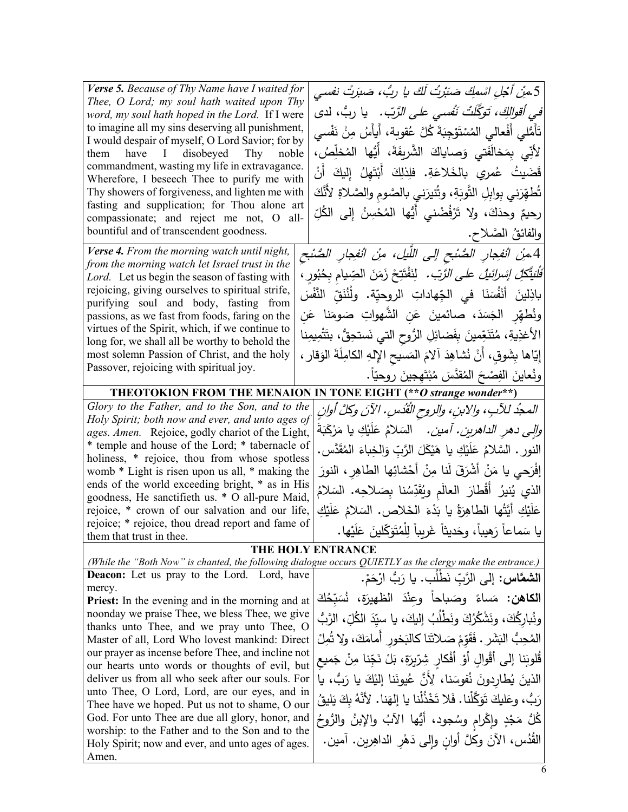| Verse 5. Because of Thy Name have I waited for<br>Thee, O Lord; my soul hath waited upon Thy         | 5.مِنْ أَجْلِ اسْمِكَ صَنَبْرتُ لَكَ يا ربُّ، صَبِرَتْ نفسى                                               |
|------------------------------------------------------------------------------------------------------|-----------------------------------------------------------------------------------------------------------|
| word, my soul hath hoped in the Lord. If I were                                                      | في أقوالكِ، تَوَكَّلْتُ نَفْسى على الرَّبِّ.   يا ربُّ، لذى                                               |
| to imagine all my sins deserving all punishment,<br>I would despair of myself, O Lord Savior; for by | تَأْمُلِي أَفْعالِي الْمُسْتَوْجِبَةَ كُلَّ عُقوبِة، أيأْسُ مِنْ نَفْسي                                   |
| them have I disobeyed Thy noble                                                                      | لأَنِّي بِمَخالَفَتي وَصاياكَ الشَّرِيفَةَ، أَيُّها المُخلِّصُ،                                           |
| commandment, wasting my life in extravagance.<br>Wherefore, I beseech Thee to purify me with         | قَضَيتُ عُمرِي بالخَلاعَةِ. فلِذلِكَ أَبْتَهِلُ إِليكَ أَنْ                                               |
| Thy showers of forgiveness, and lighten me with                                                      | تُطهِّرَني بِوابِلِ التَّوبَةِ، وتُنيرَني بالصَّوم والصَّلاةِ لأنَّكَ                                     |
| fasting and supplication; for Thou alone art                                                         | رحيمٌ وحدَكَ، ولا تَرْفُضْني أَيُّها الْمُحْسِنُ إِلى الكُلِّ                                             |
| compassionate; and reject me not, O all-                                                             |                                                                                                           |
| bountiful and of transcendent goodness.                                                              | والفائقُ الصَّلاحِ.                                                                                       |
| Verse 4. From the morning watch until night,<br>from the morning watch let Israel trust in the       | 4منِ انفجارِ الصُّنبح إلى اللَّيل، منْ انفجارِ الصُّنبح                                                   |
| Lord. Let us begin the season of fasting with                                                        | <i>ِّ قُلْيَتَّكِلِّ إِسْرائيلُ</i> ع <i>لى الرَّبِّ.</i> لِنَفْتَتِحْ زَمَنَ الصِّيامِ بِحُبُورٍ ،       |
| rejoicing, giving ourselves to spiritual strife,<br>purifying soul and body, fasting from            | باذِلينَ أَنْفُسَنَا في الجِّهاداتِ الروحيِّة. ولْنُنَقّ النَّفْسَ                                        |
| passions, as we fast from foods, faring on the                                                       | ونُطهِّرِ الجَسَدَ، صائمينَ عَنِ الشَّهواتِ صَومَنا عَنِ                                                  |
| virtues of the Spirit, which, if we continue to                                                      | الأغذِيةِ، مُتَنَعِّمينَ بِفَضائِلِ الرُّوحِ التي نَستحِقُّ، بتَتْمِيمِنا                                 |
| long for, we shall all be worthy to behold the<br>most solemn Passion of Christ, and the holy        | إِيّاها بِشَوقٍ، أَنْ نُشاهِدَ آلامَ المَسيح الإِلهِ الكامِلَةَ الوَقارِ ،                                |
| Passover, rejoicing with spiritual joy.                                                              | ونُعاينَ الفِصْحَ الْمُقَدَّسَ مُبْتَهِجينَ روحيّاً.                                                      |
|                                                                                                      | THEOTOKION FROM THE MENAION IN TONE EIGHT (** O strange wonder**)                                         |
| Glory to the Father, and to the Son, and to the                                                      |                                                                                                           |
| Holy Spirit; both now and ever, and unto ages of                                                     | المحدُ للآبِ، والإبنِ، والروح القُدْسِ. الآنَ وكلَّ أوانِ                                                 |
| ages. Amen. Rejoice, godly chariot of the Light,                                                     | <i>والى دهر الداهرين. أمين.</i> السَلامُ عَلَيْكِ يا مَرْكَبَةَ                                           |
| * temple and house of the Lord; * tabernacle of                                                      | النور . السَّلامُ عَلَيْكِ يا هَيْكَلَ الرَّبِّ وَالْخِباءَ المُقَدَّسِ.                                  |
| holiness, * rejoice, thou from whose spotless<br>womb * Light is risen upon us all, * making the     | إفْرَحي يا مَنْ أَشْرَقَ لَنا مِنْ أَحْشائِها الطاهِرِ ، النورَ                                           |
| ends of the world exceeding bright, * as in His                                                      |                                                                                                           |
| goodness, He sanctifieth us. * O all-pure Maid,                                                      | الذي يُنيرُ أَقْطَارَ العالَمِ وِيُقَدِّسُنا بِصَلاحِه. السَلامُ                                          |
| rejoice, * crown of our salvation and our life,                                                      | عَلَيْكِ أَيَّتُها الطاهِرَةُ يا بَدْءَ الخَلاص. السَلامُ عَلَيْكِ                                        |
| rejoice; * rejoice, thou dread report and fame of<br>them that trust in thee.                        | يا سَماعاً رَهِيباً، وحَديثاً غَرِيباً لِلْمُتَوَكَّلينَ عَلَيْها.                                        |
|                                                                                                      | <b>THE HOLY ENTRANCE</b>                                                                                  |
|                                                                                                      | (While the "Both Now" is chanted, the following dialogue occurs QUIETLY as the clergy make the entrance.) |
| <b>Deacon:</b> Let us pray to the Lord. Lord, have                                                   | ا <b>لشمَّاس:</b> إلى الرَّبِّ نَطْلُبٍ. يا رَبُّ ارْحَمْ.                                                |
| mercy.<br><b>Priest:</b> In the evening and in the morning and at                                    | ا <b>لكاهن:</b> مَساءً وصَباحاً وعنْدَ الظهيرَة، نُسَبِّحُكَ                                              |
| noonday we praise Thee, we bless Thee, we give                                                       | ونُبارِكُكَ، ونَشْكُرُكَ ونَطْلَبُ إِليكَ، يا سيّدَ الكُلِّ، الرَّبُّ                                     |
| thanks unto Thee, and we pray unto Thee, O                                                           |                                                                                                           |
| Master of all, Lord Who lovest mankind: Direct                                                       | الْمُحِبُّ الْبَشَرِ . فَقَوّمْ صَلاتَنا كالبَخورِ أَمامَكَ، ولا تُمِلْ                                   |
| our prayer as incense before Thee, and incline not<br>our hearts unto words or thoughts of evil, but | قُلوبَنا إلى أقْوالٍ أَوْ أَفْكارِ شِرّيرَة، بَلْ نَجِّنا مِنْ جَميع                                      |
| deliver us from all who seek after our souls. For                                                    | الذينَ يُطارِدونَ نُفوسَنا، لِأَنَّ عُيونَنا إِلَيْكَ يا رَبُّ، يا                                        |
| unto Thee, O Lord, Lord, are our eyes, and in<br>Thee have we hoped. Put us not to shame, O our      | رَبُّ، وعَليكَ تَوَكَّلْنا. فَلا تَخْذُلْنا يا إلهَنا. لأَنَّهُ بِكَ يَليقُ                               |
| God. For unto Thee are due all glory, honor, and                                                     | كُلُّ مَجْدٍ وإكْرام وسُجود، أيُّها الآبُ والإبنُ والرُّوحُ                                               |
| worship: to the Father and to the Son and to the                                                     | القُدُس، الآنَ وكلَّ أوانِ وإلى دَهْرِ الداهِرين. آمين.                                                   |
| Holy Spirit; now and ever, and unto ages of ages.<br>Amen.                                           |                                                                                                           |
|                                                                                                      |                                                                                                           |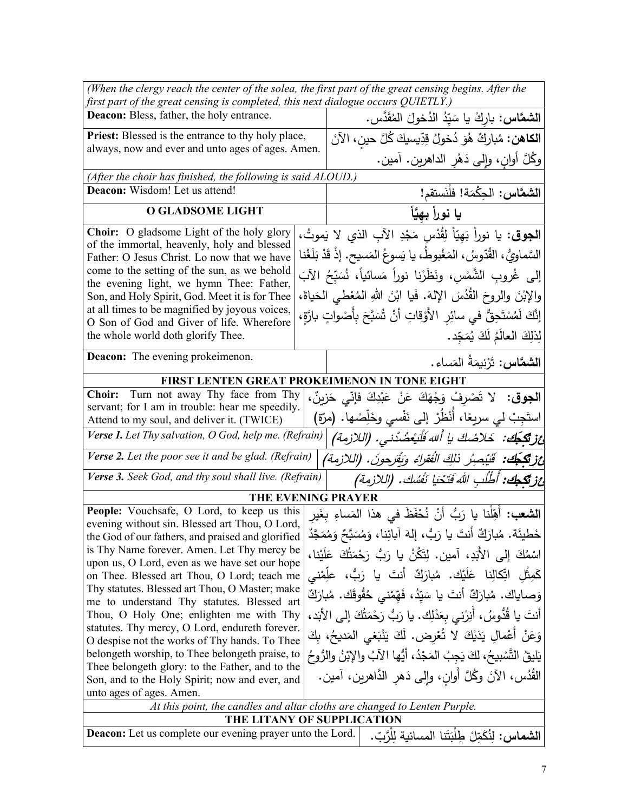| (When the clergy reach the center of the solea, the first part of the great censing begins. After the<br>first part of the great censing is completed, this next dialogue occurs QUIETLY.) |                                                                   |                                                        |                                                                              |  |
|--------------------------------------------------------------------------------------------------------------------------------------------------------------------------------------------|-------------------------------------------------------------------|--------------------------------------------------------|------------------------------------------------------------------------------|--|
| Deacon: Bless, father, the holy entrance.                                                                                                                                                  |                                                                   | ا <b>لشمَّاس:</b> باركْ يا سَيّدُ الدُخولَ المُقَدَّس. |                                                                              |  |
|                                                                                                                                                                                            | Priest: Blessed is the entrance to thy holy place,                |                                                        | ا <b>لكاهن:</b> مُباركٌ هُوَ دُخولُ قِدِّيسيكَ كُلَّ حينٍ، الآنَ             |  |
| always, now and ever and unto ages of ages. Amen.                                                                                                                                          |                                                                   | وكُلَّ أُوان، وَإِلَى دَهْرِ الداهريِن. آمين.          |                                                                              |  |
| (After the choir has finished, the following is said ALOUD.)                                                                                                                               |                                                                   |                                                        |                                                                              |  |
| Deacon: Wisdom! Let us attend!                                                                                                                                                             |                                                                   |                                                        | ال <b>شمَّاس:</b> الحِكْمَة! فلْنَستقم!                                      |  |
| <b>O GLADSOME LIGHT</b>                                                                                                                                                                    |                                                                   |                                                        | يا نوراً بهيَّاً                                                             |  |
| Choir: O gladsome Light of the holy glory                                                                                                                                                  |                                                                   |                                                        | ا <b>لجوق:</b> يا نوراً بَهِيّاً لِقُدْس مَجْدِ الآبِ الذي لا يَموتُ،        |  |
| of the immortal, heavenly, holy and blessed<br>Father: O Jesus Christ. Lo now that we have                                                                                                 |                                                                   |                                                        | السَّماويُّ ، القُدّوسُ ، المَغْبوطُ، يا يَسوعُ المَسيح. إذْ قَدْ بَلَغْنا   |  |
| come to the setting of the sun, as we behold                                                                                                                                               |                                                                   |                                                        | إلى غُروبِ الشَّمْسِ، ونَظَرْنا نوراً مَسائياً، نُسَبِّحُ الآبَ              |  |
| the evening light, we hymn Thee: Father,<br>Son, and Holy Spirit, God. Meet it is for Thee                                                                                                 |                                                                   |                                                        | والإِبْنَ والروحَ القُدُسَ الإِلهَ. فَيا ابْنَ اللهِ المُعْطى الحَياةَ،      |  |
| at all times to be magnified by joyous voices,                                                                                                                                             |                                                                   |                                                        |                                                                              |  |
| O Son of God and Giver of life. Wherefore                                                                                                                                                  |                                                                   |                                                        | إِنَّكَ لَمُسْتَحِقٌّ فـى سائِر ۖ الأَوْقاتِ أَنْ شُبَجَ بِأَصْواتٍ بارَّةٍ، |  |
| the whole world doth glorify Thee.                                                                                                                                                         |                                                                   |                                                        | لِذَلِكَ العالَمُ لَكَ يُمَجّد.                                              |  |
| <b>Deacon:</b> The evening prokeimenon.                                                                                                                                                    |                                                                   |                                                        | ا <b>لشمَّاس:</b> تَرْنِيمَةُ المَساء.                                       |  |
| FIRST LENTEN GREAT PROKEIMENON IN TONE EIGHT                                                                                                                                               |                                                                   |                                                        |                                                                              |  |
| <b>Choir:</b> Turn not away Thy face from Thy                                                                                                                                              |                                                                   |                                                        | ا <b>لجوق:</b> لا تَصْرِفْ وَجْهَكَ عَنْ عَبْدِكَ فإنّي حَزِينٌ،             |  |
| servant; for I am in trouble: hear me speedily.                                                                                                                                            |                                                                   |                                                        |                                                                              |  |
| Attend to my soul, and deliver it. (TWICE)                                                                                                                                                 |                                                                   |                                                        | استَجِبْ لمي سريعًا، أَنْظُرْ إلى نَفْسي وخَلِّصْها. (مرّة)                  |  |
| Verse 1. Let Thy salvation, O God, help me. (Refrain)                                                                                                                                      |                                                                   |                                                        | ئزتكجك: خَلاصُكَ يا ألله فَلَيْعْضُدْني. (اللازمة)                           |  |
| Verse 2. Let the poor see it and be glad. (Refrain)                                                                                                                                        |                                                                   |                                                        | لِمَرْتَكِطِهِ: قَيْبِصِرُ ذَلِكَ الْفُقِراءُ وَيُقَرِحونَ. (اللازمة)        |  |
| Verse 3. Seek God, and thy soul shall live. (Refrain)                                                                                                                                      |                                                                   |                                                        | ئ قِيْحِك: أَطْلُبِ اللَّهَ فَتَحْيَا نَفْسُكَ. (اللازمة)                    |  |
| THE EVENING PRAYER                                                                                                                                                                         |                                                                   |                                                        |                                                                              |  |
| People: Vouchsafe, O Lord, to keep us this<br>evening without sin. Blessed art Thou, O Lord,                                                                                               |                                                                   |                                                        | ا <b>لشعب:</b> أَهِّلْنا يا رَبُّ أَنْ نُحْفَظَ في هذا المَساءِ بِغَير       |  |
| the God of our fathers, and praised and glorified                                                                                                                                          |                                                                   |                                                        | خَطْيئَة. مُبارَكٌ أَنتَ يا رَبُّ، إِلهَ آبائِنا، وَمُسَبَّحٌ وَمُمَجَّدٌ    |  |
| is Thy Name forever. Amen. Let Thy mercy be                                                                                                                                                |                                                                   |                                                        | اسْمُكَ إِلَى الأَبَدِ، آمين. لِتَكُنْ يا رَبُّ رَحْمَتُكَ عَلَيْنا،         |  |
| upon us, O Lord, even as we have set our hope                                                                                                                                              |                                                                   |                                                        | كَمِثْلِ اتِّكَالِنا عَلَيْكَ. مُبارَكٌ أنتَ يا رَبُّ، علِّمْني              |  |
| on Thee. Blessed art Thou, O Lord; teach me<br>Thy statutes. Blessed art Thou, O Master; make                                                                                              |                                                                   |                                                        |                                                                              |  |
| me to understand Thy statutes. Blessed art                                                                                                                                                 |                                                                   |                                                        | وَصاياك. مُبارَكٌ أَنتَ يا سَيّدُ، فَهّمْنى حُقُوقَك. مُبارَكٌ               |  |
| Thou, O Holy One; enlighten me with Thy                                                                                                                                                    |                                                                   |                                                        | أنتَ يا قُدُّوسُ، أَنِرْني بِعَدْلِك. يا رَبُّ رَحْمَتُكَ إلى الأَبَد،       |  |
| statutes. Thy mercy, O Lord, endureth forever.                                                                                                                                             |                                                                   |                                                        |                                                                              |  |
| O despise not the works of Thy hands. To Thee                                                                                                                                              | وَعَنْ أَعْمالِ يَدَيْكَ لا تُعْرِض. لَكَ يَنْبَغي المَديحُ، بِكَ |                                                        |                                                                              |  |
| يَليقُ التَّسْبِيحُ، لكَ يَجِبُ المَجْدُ، أَيُّها الآبُ والإِبْنُ والرُّوحُ<br>belongeth worship, to Thee belongeth praise, to                                                             |                                                                   |                                                        |                                                                              |  |
| Thee belongeth glory: to the Father, and to the<br>Son, and to the Holy Spirit; now and ever, and                                                                                          |                                                                   |                                                        | الْقُدُس، الآنَ وكُلَّ أُوانٍ، وإِلَى دَهْرِ الدَّاهرينِ، آمين.              |  |
| unto ages of ages. Amen.                                                                                                                                                                   |                                                                   |                                                        |                                                                              |  |
| At this point, the candles and altar cloths are changed to Lenten Purple.                                                                                                                  |                                                                   |                                                        |                                                                              |  |
| THE LITANY OF SUPPLICATION                                                                                                                                                                 |                                                                   |                                                        |                                                                              |  |
| <b>Deacon:</b> Let us complete our evening prayer unto the Lord.                                                                                                                           |                                                                   |                                                        | ا <b>لشماس:</b> لنُكَمِّلْ طِلْبَتَنا المسائية للْرَّبّ.                     |  |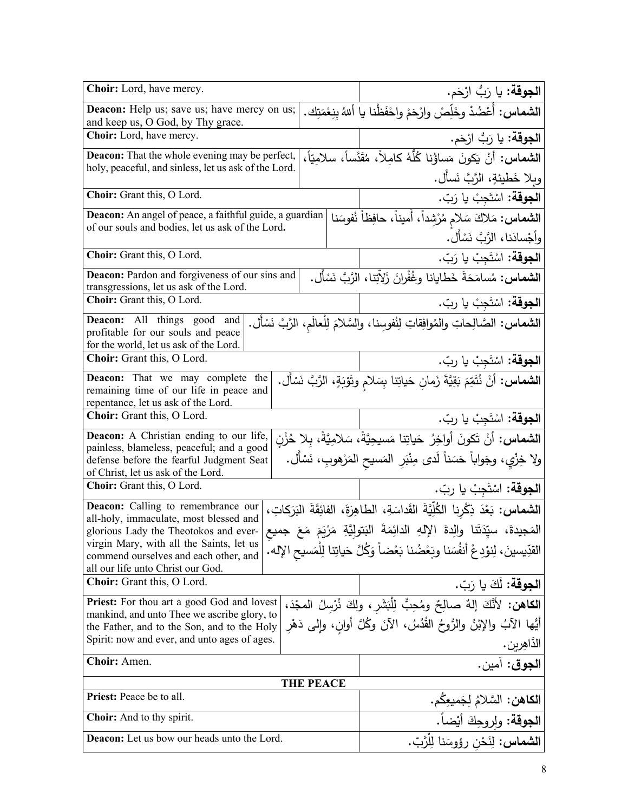| Choir: Lord, have mercy.                                                                                                                                                             |                                                                                             |                                                                                                |  |  |
|--------------------------------------------------------------------------------------------------------------------------------------------------------------------------------------|---------------------------------------------------------------------------------------------|------------------------------------------------------------------------------------------------|--|--|
| <b>Deacon:</b> Help us; save us; have mercy on us;<br>and keep us, O God, by Thy grace.                                                                                              |                                                                                             | ال <b>شماس:</b> أَعْضُدْ وخَلِّصْ وارْحَمْ وَاحْفَظْنا يا أللهُ بِنِعْمَتِكَ.                  |  |  |
| Choir: Lord, have mercy.                                                                                                                                                             |                                                                                             | ا <b>لجوقة:</b> يا رَبُّ ارْحَم.                                                               |  |  |
| <b>Deacon:</b> That the whole evening may be perfect,                                                                                                                                |                                                                                             | <b>الشماس:</b> أنْ يَكونَ مَساؤُنا كُلُّهُ كامِلاً، مُقَدَّساً، سلامِيّاً،                     |  |  |
| holy, peaceful, and sinless, let us ask of the Lord.                                                                                                                                 |                                                                                             | ويلا خَطيئةٍ، الرَّبَّ نَسأَل.                                                                 |  |  |
| Choir: Grant this, O Lord.                                                                                                                                                           |                                                                                             | <b>الجوقة:</b> اسْتَجِبْ يا رَبّ.                                                              |  |  |
| <b>Deacon:</b> An angel of peace, a faithful guide, a guardian                                                                                                                       |                                                                                             | ا <b>لشماس:</b> مَلاكَ سَلام مُرْشِداً، أَميناً، حافِظاً نُفْوِسَنا                            |  |  |
| of our souls and bodies, let us ask of the Lord.                                                                                                                                     |                                                                                             | وأجْسادَنا، الرَّبَّ نَسْأَل.                                                                  |  |  |
| Choir: Grant this, O Lord.                                                                                                                                                           |                                                                                             | ا <b>لجوقة:</b> اسْتَجِبْ يا رَبّ.                                                             |  |  |
| Deacon: Pardon and forgiveness of our sins and                                                                                                                                       |                                                                                             | ا <b>لشماس:</b> مُسامَحَةَ خَطايانا وغُفْرانَ زَلاّتِنا، الرَّبَّ نَسْأَل.                     |  |  |
| transgressions, let us ask of the Lord.<br>Choir: Grant this, O Lord.                                                                                                                |                                                                                             | ا <b>لجوقة:</b> اسْتَجِبْ يا ربّ.                                                              |  |  |
| <b>Deacon:</b> All things good and                                                                                                                                                   |                                                                                             | الشماس: الصَّالِحاتِ والمُوافِقاتِ لِنُفوسِنا، والسَّلامَ لِلْعالَمِ، الرَّبَّ نَسْأَلْ.       |  |  |
| profitable for our souls and peace<br>for the world, let us ask of the Lord.                                                                                                         |                                                                                             |                                                                                                |  |  |
| Choir: Grant this, O Lord.                                                                                                                                                           |                                                                                             | <b>الجوقة:</b> اسْتَجِبْ يا ربّ.                                                               |  |  |
| <b>Deacon:</b> That we may complete the                                                                                                                                              |                                                                                             | ا <b>لشماس:</b> أنْ نُتَمِّمَ بَقِيَّةَ زَمانِ حَياتِنا بِسَلامِ وتَوْبَةٍ، الرَّبَّ نَسْأَلْ. |  |  |
| remaining time of our life in peace and<br>repentance, let us ask of the Lord.                                                                                                       |                                                                                             |                                                                                                |  |  |
| Choir: Grant this, O Lord.                                                                                                                                                           |                                                                                             | <b>الجوقة:</b> اسْتَجِبْ يا ربّ.                                                               |  |  |
| <b>Deacon:</b> A Christian ending to our life,                                                                                                                                       |                                                                                             | <b>الشماس:</b> أنْ تَكونَ أواخِرُ حَياتِنا مَسيحِيَّةً، سَلامِيَّةً، بِلا حُزْنِ               |  |  |
| painless, blameless, peaceful; and a good<br>defense before the fearful Judgment Seat                                                                                                |                                                                                             | ولا خِزْي، وجَواباً حَسَناً لَدى مِنْبَرِ  المَسيح المَرْهوبِ، نَسْأَل.                        |  |  |
| of Christ, let us ask of the Lord.                                                                                                                                                   |                                                                                             |                                                                                                |  |  |
| Choir: Grant this, O Lord.                                                                                                                                                           |                                                                                             | <b>الجوقة:</b> اسْتَجِبْ يا ربّ.                                                               |  |  |
| Deacon: Calling to remembrance our<br>all-holy, immaculate, most blessed and                                                                                                         | ا <b>لشماس:</b> بَعْدَ ذِكْرِنا الكُلِّيَّةَ القَداسَةِ، الطاهِرَةَ، الفائِقَةَ البَرَكاتِ، |                                                                                                |  |  |
| glorious Lady the Theotokos and ever-                                                                                                                                                | المَجيدةَ، سيّدَتَنا والِدةَ الإِلهِ الدائِمَةَ البَتوليَّةِ مَرْبَعَ مَعَ جميع             |                                                                                                |  |  |
| virgin Mary, with all the Saints, let us<br>commend ourselves and each other, and                                                                                                    |                                                                                             | القدِّيسينَ، لِنوْدِعْ أَنفُسَنا وبَعْضُنا بَعْضاً وَكُلَّ حَياتِنا لِلْمَسيحِ الإله.          |  |  |
| all our life unto Christ our God.<br>Choir: Grant this, O Lord.                                                                                                                      |                                                                                             |                                                                                                |  |  |
|                                                                                                                                                                                      |                                                                                             | ا <b>لجوقة:</b> لَكَ يا رَبّ.                                                                  |  |  |
| <b>Priest:</b> For thou art a good God and lovest<br>ا <b>لكاهن:</b> لأنَّكَ إلهٌ صالِحٌ ومُحِبٌّ لِلْبَشَرِ ، ولكَ نُرْسِلُ المجْدَ،<br>mankind, and unto Thee we ascribe glory, to |                                                                                             |                                                                                                |  |  |
| أَيُّها الآبُ والإبْنُ والرُّوحُ القُدُسُ، الآنَ وكُلَّ أوانِ، وإلى دَهْرِ<br>the Father, and to the Son, and to the Holy<br>Spirit: now and ever, and unto ages of ages.            |                                                                                             |                                                                                                |  |  |
| الذاهِرين.                                                                                                                                                                           |                                                                                             |                                                                                                |  |  |
| Choir: Amen.                                                                                                                                                                         | ا <b>لجوق:</b> آمين.                                                                        |                                                                                                |  |  |
| <b>THE PEACE</b><br>Priest: Peace be to all.                                                                                                                                         |                                                                                             |                                                                                                |  |  |
| <b>Choir:</b> And to thy spirit.                                                                                                                                                     |                                                                                             | ا <b>لكاهن:</b> السَّلامُ لِجَميعِكُم.                                                         |  |  |
| <b>Deacon:</b> Let us bow our heads unto the Lord.                                                                                                                                   |                                                                                             | ا <b>لجوقة</b> : ولِروحِكَ أَيْضاً                                                             |  |  |
|                                                                                                                                                                                      |                                                                                             | <b>الشماس:</b> لِنَحْن رؤوسَنا لِلْرَّبّ.                                                      |  |  |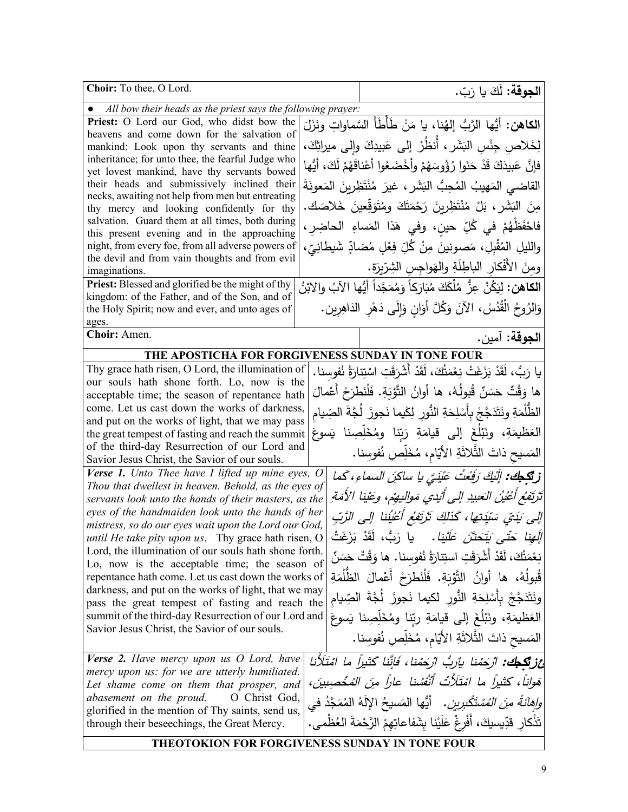| Choir: To thee, O Lord.                                                                                                             |  | ا <b>لجوقة:</b> لَكَ يا رَبّ.                                                          |  |  |
|-------------------------------------------------------------------------------------------------------------------------------------|--|----------------------------------------------------------------------------------------|--|--|
| All bow their heads as the priest says the following prayer:                                                                        |  |                                                                                        |  |  |
| Priest: O Lord our God, who didst bow the                                                                                           |  | ا <b>لكاهن:</b> أَيُّها الرَّبُّ إلهُنا، يا مَنْ طَأَطَأَ السَّماواتِ ونَزَلَ          |  |  |
| heavens and come down for the salvation of                                                                                          |  |                                                                                        |  |  |
| mankind: Look upon thy servants and thine<br>inheritance; for unto thee, the fearful Judge who                                      |  | لِخَلاصِ جِنْسِ البَشَرِ ، أَنظُرْ ۖ إِلَى عَبِيدِكَ وإِلَى ميراثِكَ ،                 |  |  |
| yet lovest mankind, have thy servants bowed                                                                                         |  | فإِنَّ عَبِيدَكَ قَدْ حَنَوا رُؤُوسَهُمْ وأَخْضَعُوا أَعْناقَهُمْ لَكَ، أَيُّها        |  |  |
| their heads and submissively inclined their                                                                                         |  | القاضى المَهيبُ المُحِبُّ البَشَرِ ، غيرَ مُنْتَظِرِينَ المَعونَةَ                     |  |  |
| necks, awaiting not help from men but entreating                                                                                    |  |                                                                                        |  |  |
| thy mercy and looking confidently for thy                                                                                           |  | مِنَ البَشَرِ ، بَلْ مُنْتَظِرِينَ رَحْمَتَكَ وِمُتَوَقِّعِينَ خَلاصَك.                |  |  |
| salvation. Guard them at all times, both during                                                                                     |  | فاحْفَظْهُمْ في كُلِّ حينِ، وفي هَذا المَساءِ الحاضِرِ،                                |  |  |
| this present evening and in the approaching<br>night, from every foe, from all adverse powers of                                    |  |                                                                                        |  |  |
| the devil and from vain thoughts and from evil                                                                                      |  | والليلِ المُقْبِلِ، مَصونينَ مِنْ كُلِّ فِعْلِ مُضادٍّ شَيطانِيّ،                      |  |  |
| imaginations.                                                                                                                       |  | ومِنَ الأَفْكارِ الباطِلَةِ والهَواجِسِ الشِّرّيزةِ.                                   |  |  |
| Priest: Blessed and glorified be the might of thy                                                                                   |  | ا <b>لكاهن:</b> لِيَكُنْ عِزُّ مُلْكَكَ مُبَارَكاً وَمُمَجَّداً أَيُّها الآبُ والابْنُ |  |  |
| kingdom: of the Father, and of the Son, and of                                                                                      |  |                                                                                        |  |  |
| the Holy Spirit; now and ever, and unto ages of                                                                                     |  | وَالرُوحُ الْقُدُسْ، الآنَ وَكُلَّ أَوَانِ وَإِلَى دَهْرِ الذَاهِرِينِ.                |  |  |
| ages.<br>Choir: Amen.                                                                                                               |  |                                                                                        |  |  |
|                                                                                                                                     |  | الجوقة: آمين.                                                                          |  |  |
| THE APOSTICHA FOR FORGIVENESS SUNDAY IN TONE FOUR                                                                                   |  |                                                                                        |  |  |
| Thy grace hath risen, O Lord, the illumination of                                                                                   |  | يا رَبُّ، لَقَدْ بَزَغَتْ نِعْمَتُكَ، لَقَدْ أَشْرَقَتِ اسْتِنارَةُ نُفوسنا.           |  |  |
| our souls hath shone forth. Lo, now is the                                                                                          |  | ها وَقْتٌ حَسَنٌ قُبولُهُ، ها أُوانُ التَّوْبَةِ. فَلْنَطْرَحْ أَعْمالَ                |  |  |
| acceptable time; the season of repentance hath                                                                                      |  |                                                                                        |  |  |
| come. Let us cast down the works of darkness,<br>and put on the works of light, that we may pass                                    |  | الظُّلْمَةِ ونَتَدَجَّجْ بِأَسْلِحَةِ النُّورِ لِكَيما نَجوزَ لُجَّةَ الصِّيام         |  |  |
| the great tempest of fasting and reach the summit                                                                                   |  | العَظيمَةِ، ونَبْلَغَ إلى قيامَةِ رَبّنا ومُخَلِّصِنا يَسوعَ                           |  |  |
| of the third-day Resurrection of our Lord and                                                                                       |  |                                                                                        |  |  |
| Savior Jesus Christ, the Savior of our souls.                                                                                       |  | المَسيح ذاتَ الثَّلاثَةِ الأيّامِ، مُخَلِّصِ نُفوسِنا.                                 |  |  |
| Verse 1. Unto Thee have I lifted up mine eyes, O                                                                                    |  | زِتَبْجَلَىٰ: إِلَيْكَ رَفَعْتُ عَيْنَيَّ يا ساكنِّ السماءِ، كما                       |  |  |
| Thou that dwellest in heaven. Behold, as the eyes of                                                                                |  | تَرتَفِعُ أَعْيُنُ العَبيدِ إِلَى أَيْدِي مَوالِيهُم، وعَيْنا الأُمَةِ                 |  |  |
| servants look unto the hands of their masters, as the                                                                               |  |                                                                                        |  |  |
| eyes of the handmaiden look unto the hands of her<br>mistress, so do our eyes wait upon the Lord our God,                           |  | إلى يَدَيِّ مَتَيَدَتِها، كَذَلِكَ تَرْتَفِعُ أَعُيُنَنَا إِلَى الرَّبِّ               |  |  |
| until He take pity upon us. Thy grace hath risen, O                                                                                 |  | <i>إِلَهِنا</i> حَتّ <i>ـى بَتَحَنَّنَ عَلَيْنا.</i> يا رَبُّ، لَقَدْ بَزَغَتْ         |  |  |
| Lord, the illumination of our souls hath shone forth.                                                                               |  |                                                                                        |  |  |
| Lo, now is the acceptable time; the season of                                                                                       |  | نِعْمَتُكَ، لَقَدْ أَشْرَقَتِ استِنارَةُ نُفوسنا. ها وَقْتٌ حَسَنٌ                     |  |  |
| repentance hath come. Let us cast down the works of                                                                                 |  | قُبولُهُ، ها أُوانُ التَّوْبَةِ. فَلْنَطْرَحْ أَعْمالَ الظَلْمَةِ                      |  |  |
| darkness, and put on the works of light, that we may                                                                                |  | ونَتَدَجَّجْ بأَسْلِحَةِ النُّورِ لكيما نَجوزَ لُجَّةَ الصِّيام                        |  |  |
| pass the great tempest of fasting and reach the                                                                                     |  |                                                                                        |  |  |
| summit of the third-day Resurrection of our Lord and                                                                                |  | العَظيمَةِ، ونَبْلُغَ إلى قيامَةِ ربّنا ومُخَلِّصِنا يَسوعَ                            |  |  |
| Savior Jesus Christ, the Savior of our souls.                                                                                       |  | المَسيح ذاتَ الثِّلاثَةِ الأَيّامِ، مُخَلِّصِ نُفوسِنا.                                |  |  |
|                                                                                                                                     |  |                                                                                        |  |  |
| <b>Verse 2.</b> Have mercy upon us O Lord, have<br>mercy upon us: for we are utterly humiliated.                                    |  | عز تكجك: ارْجَمْنا يارَبُ ارْجَمْنا، فَانَّنا كَتْبِراً ما امْتَلَأْنا                 |  |  |
| Let shame come on them that prosper, and                                                                                            |  | هَواناً، كَتْبِراً ما امْتَلَأْتْ أَنْفُسُنا عاراً مِنَ الْمُخْصِبِينَ،                |  |  |
| abasement on the proud.<br>O Christ God,                                                                                            |  |                                                                                        |  |  |
| <i>واهانَةٌ منَ المُسْتَكْبِرِينِ.</i> أَيُّها المَسيحُ الإِلَهُ المُمَجَّدُ في<br>glorified in the mention of Thy saints, send us, |  |                                                                                        |  |  |
| through their beseechings, the Great Mercy.                                                                                         |  | تَذْكار قدِّيسيكَ، أَفْرِغْ عَلَيْنا بِشَفاعاتِهِمْ الرَّحْمَةَ العُظْمى.              |  |  |
| THEOTOKION FOR FORGIVENESS SUNDAY IN TONE FOUR                                                                                      |  |                                                                                        |  |  |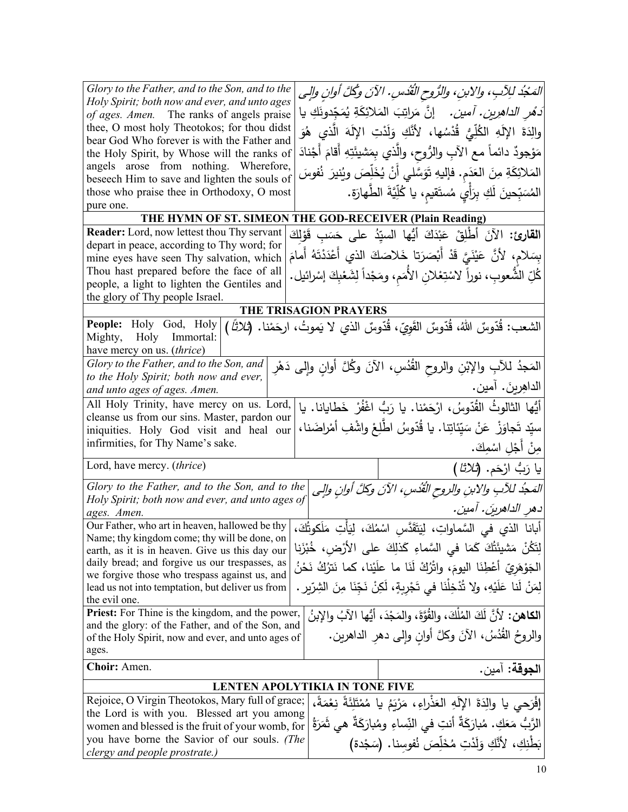| Glory to the Father, and to the Son, and to the                                                   | المَجْدُ للِآبِ، والابنِ، والرُّوحِ الْقُدْسِ. الآنَ وكُلَّ أُوانِ والِي               |
|---------------------------------------------------------------------------------------------------|----------------------------------------------------------------------------------------|
| Holy Spirit; both now and ever, and unto ages                                                     | دَ <i>هْرِ  الداهِرِينِ. آمين.</i> إنَّ مَراتِبَ المَلائِكَةِ يُمَجِّدونَكِ يا         |
| of ages. Amen. The ranks of angels praise<br>thee, O most holy Theotokos; for thou didst          |                                                                                        |
| bear God Who forever is with the Father and                                                       | والِدَةَ الإِلَهِ الطُّلِّيُّ قُدْسُها، لأَنَّكِ وَلَدْتِ الإِلَهَ الَّذي هُوَ         |
| the Holy Spirit, by Whose will the ranks of                                                       | مَوْجودٌ دائماً مع الآبِ والرُّوحِ، والَّذي بِمَشيئَتِهِ أقامَ أَجْنادَ                |
| angels arose from nothing. Wherefore,                                                             | المَلائِكَةِ مِنَ العَدَمِ. فإليهِ تَوَسَّلي أَنْ يُخَلِّصَ ويُنيرَ نُفوسَ             |
| beseech Him to save and lighten the souls of                                                      |                                                                                        |
| those who praise thee in Orthodoxy, O most<br>pure one.                                           | المُسَبِّحينَ لَكِ بِرَأْيٍ مُستَقيمٍ، يا كُلِّيَّةَ الطَّهارَة.                       |
| THE HYMN OF ST. SIMEON                                                                            | THE GOD-RECEIVER (Plain Reading)                                                       |
| Reader: Lord, now lettest thou Thy servant                                                        | القارئ: الآنَ أَطْلِقْ عَبْدَكَ أَيُّها السيّدُ على حَسَبٍ قَوْلِكَ                    |
| depart in peace, according to Thy word; for                                                       |                                                                                        |
| mine eyes have seen Thy salvation, which                                                          | بِسَلام، لأَنَّ عَيْنَيَّ قَدْ أَبْصَرَتا خَلاصَكَ الذي أَعْدَدْتَهُ أَمامَ            |
| Thou hast prepared before the face of all                                                         | كُلِّ الشُّعوبِ، نوراً لاسْتِعْلانِ الأُمَمِ، ومَجْداً لِشَعْبِكَ إسْرائيل.            |
| people, a light to lighten the Gentiles and                                                       |                                                                                        |
| the glory of Thy people Israel.                                                                   |                                                                                        |
|                                                                                                   | THE TRISAGION PRAYERS                                                                  |
| People: Holy God, Holy                                                                            | الشعب: قُدّوسٌ اللهُ، قُدّوسٌ القَوِيّ، قُدّوسٌ الذي لا يَموتُ، ارحَمْنا. (ثلاثًا )    |
| Mighty, Holy Immortal:                                                                            |                                                                                        |
| have mercy on us. (thrice)                                                                        |                                                                                        |
| Glory to the Father, and to the Son, and<br>to the Holy Spirit; both now and ever,                | المَجدُ للآبِ والإبْنِ والروحِ القُدُسِ، الآنَ وكُلَّ أوانٍ وإلى دَهْرِ                |
| and unto ages of ages. Amen.                                                                      | الداهِرينَ. آمين.                                                                      |
| All Holy Trinity, have mercy on us. Lord,                                                         | أَيُّها الثالوثُ القُدّوسُ، ارْحَمْنا. يا رَبُّ اغْفُرْ خَطايانا. يا                   |
| cleanse us from our sins. Master, pardon our                                                      |                                                                                        |
| iniquities. Holy God visit and heal our                                                           | سيّد تَجاوَزْ عَنْ سَيِّئَاتِنا. يا قُدّوسُ اطَّلِعْ واشْفِ أَمْراضَنا،                |
| infirmities, for Thy Name's sake.                                                                 | مِنْ أَجْلِ اسْمِكَ.                                                                   |
| Lord, have mercy. (thrice)                                                                        | يا رَبُّ ارْحَم. ( <i>ثلاثا</i> )                                                      |
| Glory to the Father, and to the Son, and to the                                                   | المَجْدُ للآبِ والابنِ والروحِ الْقُدْسِ، الآنَ وكلَّ أوانِ والِي                      |
| Holy Spirit; both now and ever, and unto ages of                                                  |                                                                                        |
| ages. Amen.                                                                                       | دهرِ الداهرينَ. آمين.                                                                  |
| Our Father, who art in heaven, hallowed be thy                                                    | أبانا الذي في السَّماواتِ، لِيَتَقَدَّسِ اسْمُكَ، لِيَأْتِ مَلَكوتُكَ،                 |
| Name; thy kingdom come; thy will be done, on                                                      | لِتَكُنْ مَشيئَتُكَ كَمَا في السَّماءِ كَذلِكَ على الأَرْضِ، خُبْزَنِا                 |
| earth, as it is in heaven. Give us this day our<br>daily bread; and forgive us our trespasses, as |                                                                                        |
| we forgive those who trespass against us, and                                                     | الْجَوْهَرِيّ أَعْطِنَا اليومَ، واتْرُكْ لَنَا ما علَيْنا، كما نَترُكُ نَحْنُ          |
| lead us not into temptation, but deliver us from                                                  | لِمَنْ لَنا عَلَيْهِ، ولا تُدْخِلْنَا في تَجْرِبِةٍ، لَكِنْ نَجِّنَا مِنَ الشِرِّيرِ . |
| the evil one.                                                                                     |                                                                                        |
| <b>Priest:</b> For Thine is the kingdom, and the power,                                           | ا <b>لكاهن:</b> لأنَّ لَكَ المُلْكَ، والقُوَّةَ، والمَجْدَ، أَيُّها الآبُ والإبنُ      |
| and the glory: of the Father, and of the Son, and                                                 |                                                                                        |
| of the Holy Spirit, now and ever, and unto ages of                                                | والروحُ القُدُسُ، الآنَ وكلَّ أوانِ وإلى دهرِ الداهرين.                                |
| ages.                                                                                             |                                                                                        |
| Choir: Amen.                                                                                      | ا <b>لجوقة:</b> آمين.                                                                  |
|                                                                                                   | <b>LENTEN APOLYTIKIA IN TONE FIVE</b>                                                  |
| Rejoice, O Virgin Theotokos, Mary full of grace;                                                  | إِفْرَحِي يا وِالِدَةَ الإِلَهِ الْعَذْرِاءِ، مَرْبَمُ يا مُمْتَلِّئَةً نِعْمَةً،      |
| the Lord is with you. Blessed art you among                                                       | الرَّبُّ مَعَكِ. مُبارَكَةٌ أنتِ في النِّساءِ ومُبارَكَةٌ هي ثَمَرَةُ                  |
| women and blessed is the fruit of your womb, for                                                  |                                                                                        |
| you have borne the Savior of our souls. (The<br>clergy and people prostrate.)                     | بَطْنِكِ، لأَنَّكِ وَلَدْتِ مُخَلِّصَ نُفوسنا. (سَجْدة)                                |
|                                                                                                   |                                                                                        |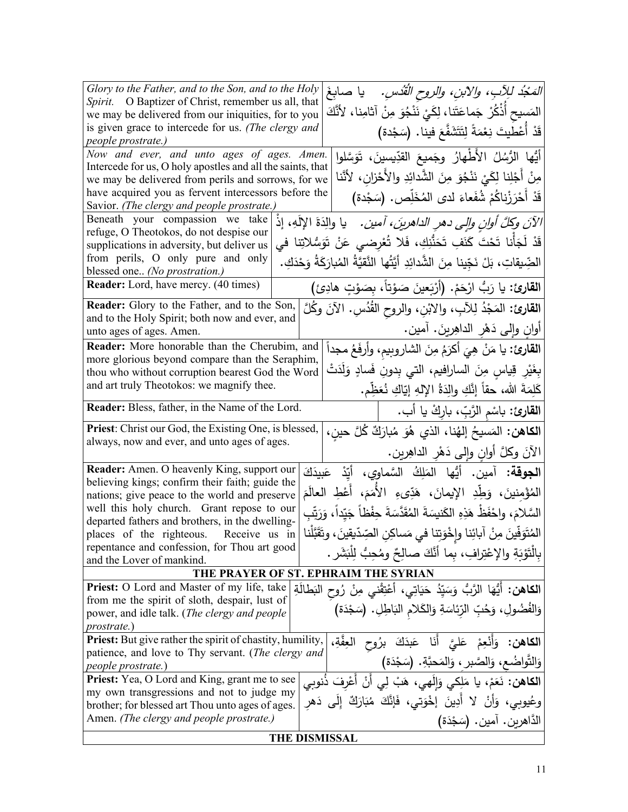| Glory to the Father, and to the Son, and to the Holy                                                     | <i>التَعْبُدُ للِآبِ، والابنِ، والروح القُدُسِ.</i> يا صابغَ                            |
|----------------------------------------------------------------------------------------------------------|-----------------------------------------------------------------------------------------|
| Spirit. O Baptizer of Christ, remember us all, that                                                      |                                                                                         |
| we may be delivered from our iniquities, for to you                                                      | المَسيح أَذْكُرْ جَماعَتَنا، لِكَيْ نَنْجُوَ مِنْ آثامِنا، لأنَّكَ                      |
| is given grace to intercede for us. (The clergy and                                                      | قَدْ أَعْطِيتَ نِعْمَةً لِتَتَشَفَّعَ فينا. (سَجْدة)                                    |
| people prostrate.)                                                                                       |                                                                                         |
| Now and ever, and unto ages of ages. Amen.<br>Intercede for us, O holy apostles and all the saints, that | أَيُّها الرُّسُلُ الأَطْهارُ وجَميعَ القدِّيسينَ، تَوَسَّلوا                            |
| we may be delivered from perils and sorrows, for we                                                      | مِنْ أَجْلِنا لِكَيْ نَنْجُوَ مِنَ الشَّدائِدِ والأَحْزانِ، لأنَّنا                     |
| have acquired you as fervent intercessors before the                                                     |                                                                                         |
| Savior. (The clergy and people prostrate.)                                                               | قَدْ أَحْرَزْنِاكُمْ شُفَعاءَ لدى المُخَلِّص. (سَجْدة)                                  |
| Beneath your compassion we take                                                                          | <i>الآنَ وكلَّ أوانِ وإلى دهرِ الداهرينَ، آمين.</i> يا والِذَةَ الإلَهِ، إذْ            |
| refuge, O Theotokos, do not despise our                                                                  | قَدْ لَجَأْنا تَحْتَ كَنَفِ تَحَنُّنِكِ، فَلا تُعْرِضي عَنْ تَوَسُّلاتِنا في            |
| supplications in adversity, but deliver us                                                               |                                                                                         |
| from perils, O only pure and only<br>blessed one (No prostration.)                                       | الضِّيقاتِ، بَلْ نَجِّينا مِنَ الشَّدائِدِ أَيَّتُها النَّقيَّةُ المُبارَكَةُ وَحْدَكِ. |
| <b>Reader:</b> Lord, have mercy. (40 times)                                                              | القارئ: يا رَبُّ ارْحَمْ. (أَرْبَعينَ صَوْتاً، بصَوْتٍ هادِئِ)                          |
| Reader: Glory to the Father, and to the Son,                                                             | ا <b>لقارئ:</b> المَجْدُ لِلآبِ، والابْنِ، والروح القُدُسِ. الآنَ وكُلَّ                |
| and to the Holy Spirit; both now and ever, and                                                           |                                                                                         |
| unto ages of ages. Amen.                                                                                 | أُوانِ وَإِلَى دَهْرِ الدَاهِرِينَ. آمين.                                               |
| Reader: More honorable than the Cherubim, and                                                            | ا <b>لقارئ:</b> يا مَنْ هِيَ أكرَمُ مِنَ الشاروبيم، وأرفَعُ مجداً                       |
| more glorious beyond compare than the Seraphim,                                                          | بِغَيْرِ قِياسٍ مِنَ السارافيم، التي بِدونِ فَسادٍ وَلَدَتْ                             |
| thou who without corruption bearest God the Word                                                         |                                                                                         |
| and art truly Theotokos: we magnify thee.                                                                | كَلِمَةَ الله، حقاً إنَّكِ والِدَةُ اﻹلهِ إيّاكِ نُعَظِّم.                              |
| Reader: Bless, father, in the Name of the Lord.                                                          | القارئ: باسْمِ الرَّبِّ، باركْ يا أب.                                                   |
| Priest: Christ our God, the Existing One, is blessed,                                                    | ا <b>لكاهن:</b> المَسيحُ إلهُنا، الذي هُوَ مُبارَكٌ كُلَّ حينِ،                         |
| always, now and ever, and unto ages of ages.                                                             | الآنَ وكلَّ أُوانِ وإِلَى دَهْرِ الداهِرِينِ.                                           |
|                                                                                                          |                                                                                         |
| Reader: Amen. O heavenly King, support our<br>believing kings; confirm their faith; guide the            | ا <b>لجوقة:</b> آمين. أَيُّها المَلِكُ السَّماوِي، أَيِّدْ عَبِيدَكَ                    |
| nations; give peace to the world and preserve                                                            | الْمُؤْمِنينَ، وَطِّدِ الإِيمانَ، هَدِّيءِ الأُمَمَ، أَعْطِ العالَمَ                    |
| well this holy church. Grant repose to our                                                               | السَّلامَ، واحْفَظْ هَذِهِ الكَنيسَةَ المُقَدَّسَةَ حِفْظاً جَيِّداً، وَرَتِّبِ         |
| departed fathers and brothers, in the dwelling-                                                          |                                                                                         |
| places of the righteous. Receive us in                                                                   | المُتَوَفِّينَ مِنْ آبائِنا وإِخْوَتِنا في مَساكِنِ الصِّدّيقينَ، وتَقَبَّلْنا          |
| repentance and confession, for Thou art good                                                             | بالْتَوْبَةِ والإعْتِرافِ، بما أنَّكَ صالِحٌ ومُحِبُّ لِلبَشَرِ .                       |
| and the Lover of mankind.                                                                                |                                                                                         |
|                                                                                                          | THE PRAYER OF ST. EPHRAIM THE SYRIAN                                                    |
| <b>Priest:</b> O Lord and Master of my life, take                                                        | ا <b>لكاهن:</b> أَيُّهَا الزَّبُّ وَسَيِّدُ حَيَاتِي، أَعْتِقْني مِنْ رُوحٍ البَطْالَةِ |
| from me the spirit of sloth, despair, lust of<br>power, and idle talk. (The clergy and people            | وَالفُضُولِ، وَحُبِّ الرِّئاسَةِ وَالكَلامِ الْبَاطِلِ. (سَجْدَة)                       |
| <i>prostrate.</i> )                                                                                      |                                                                                         |
| Priest: But give rather the spirit of chastity, humility,                                                | ا <b>لكاهن:</b> وَأَنْعِمْ عَلَيَّ أَنَا عَبدَكَ بِرُوحٍ العِفَّةِ،                     |
| patience, and love to Thy servant. (The clergy and                                                       |                                                                                         |
| <i>people prostrate.</i> )                                                                               | وَالنَّواضُـع، وَالصَّبر ، وَالمَحبَّةِ. (سَجْدَة)                                      |
| <b>Priest:</b> Yea, O Lord and King, grant me to see                                                     | ا <b>لكاهن:</b> نَعَمْ، يا مَلِكي وَإِلَهي، هَبْ لِي أَنْ أَعْرِفَ ذُنوبِي              |
| my own transgressions and not to judge my                                                                | وعُيوبِي، وَأَنْ لا أَدِينَ إِخْوَتِي، فَإِنَّكَ مُبَارَكٌ إِلَى دَهر                   |
| brother; for blessed art Thou unto ages of ages.                                                         |                                                                                         |
| Amen. (The clergy and people prostrate.)                                                                 | الدَّاهرين. آمين. (سَجْدَة)                                                             |
|                                                                                                          | <b>THE DISMISSAL</b>                                                                    |